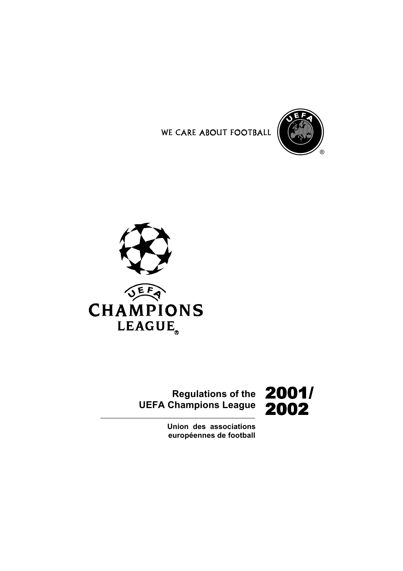





# **Regulations of the** 2001/ **UEFA Champions League**

2002

**Union des associations** européennes de football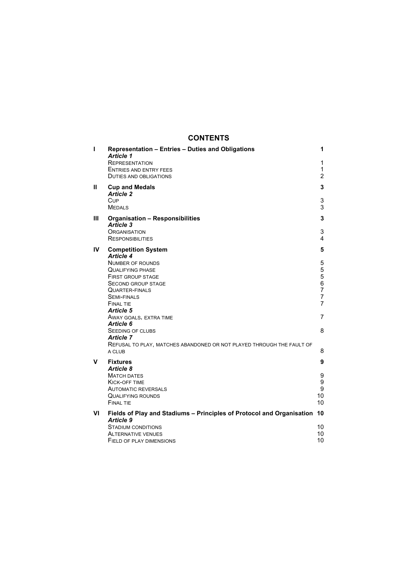## **CONTENTS**

| ı  | Representation - Entries - Duties and Obligations<br><b>Article 1</b><br><b>REPRESENTATION</b><br><b>ENTRIES AND ENTRY FEES</b><br><b>DUTIES AND OBLIGATIONS</b>                                                                                                                                                                                                                                                      | 1<br>1<br>$\mathbf{1}$<br>$\overline{2}$                                      |
|----|-----------------------------------------------------------------------------------------------------------------------------------------------------------------------------------------------------------------------------------------------------------------------------------------------------------------------------------------------------------------------------------------------------------------------|-------------------------------------------------------------------------------|
| Ш  | <b>Cup and Medals</b><br><b>Article 2</b><br>Cup<br><b>MEDALS</b>                                                                                                                                                                                                                                                                                                                                                     | 3<br>3<br>3                                                                   |
| Ш  | <b>Organisation - Responsibilities</b><br><b>Article 3</b><br>ORGANISATION<br><b>RESPONSIBILITIES</b>                                                                                                                                                                                                                                                                                                                 | 3<br>3<br>4                                                                   |
| IV | <b>Competition System</b><br><b>Article 4</b><br><b>NUMBER OF ROUNDS</b><br><b>QUALIFYING PHASE</b><br><b>FIRST GROUP STAGE</b><br><b>SECOND GROUP STAGE</b><br><b>QUARTER-FINALS</b><br><b>SEMI-FINALS</b><br><b>FINAL TIE</b><br>Article 5<br>AWAY GOALS, EXTRA TIME<br>Article 6<br><b>SEEDING OF CLUBS</b><br><b>Article 7</b><br>REFUSAL TO PLAY, MATCHES ABANDONED OR NOT PLAYED THROUGH THE FAULT OF<br>A CLUB | 5<br>5<br>5<br>5<br>6<br>$\overline{7}$<br>7<br>$\overline{7}$<br>7<br>8<br>8 |
| v  | <b>Fixtures</b><br>Article 8<br><b>MATCH DATES</b><br><b>KICK-OFF TIME</b><br><b>AUTOMATIC REVERSALS</b><br>QUALIFYING ROUNDS<br><b>FINAL TIE</b>                                                                                                                                                                                                                                                                     | 9<br>9<br>9<br>9<br>10<br>10                                                  |
| VI | Fields of Play and Stadiums - Principles of Protocol and Organisation<br><b>Article 9</b><br><b>STADIUM CONDITIONS</b><br><b>ALTERNATIVE VENUES</b><br>FIELD OF PLAY DIMENSIONS                                                                                                                                                                                                                                       | 10<br>10<br>10<br>10                                                          |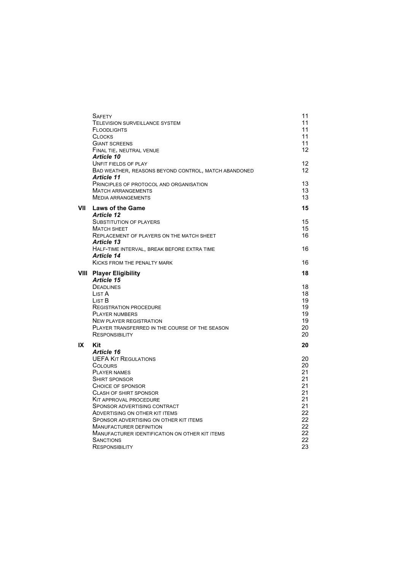|      | <b>SAFETY</b><br>TELEVISION SURVEILLANCE SYSTEM<br><b>FLOODLIGHTS</b><br><b>CLOCKS</b><br><b>GIANT SCREENS</b><br>FINAL TIE, NEUTRAL VENUE | 11<br>11<br>11<br>11<br>11<br>12 |
|------|--------------------------------------------------------------------------------------------------------------------------------------------|----------------------------------|
|      | <b>Article 10</b><br><b>UNFIT FIELDS OF PLAY</b><br>BAD WEATHER, REASONS BEYOND CONTROL, MATCH ABANDONED<br><b>Article 11</b>              | 12<br>12                         |
|      | PRINCIPLES OF PROTOCOL AND ORGANISATION<br><b>MATCH ARRANGEMENTS</b><br><b>MEDIA ARRANGEMENTS</b>                                          | 13<br>13<br>13                   |
| VII  | <b>Laws of the Game</b>                                                                                                                    | 15                               |
|      | <b>Article 12</b><br><b>SUBSTITUTION OF PLAYERS</b>                                                                                        | 15                               |
|      | <b>MATCH SHEET</b>                                                                                                                         | 15                               |
|      | <b>REPLACEMENT OF PLAYERS ON THE MATCH SHEET</b>                                                                                           | 16                               |
|      | <b>Article 13</b><br>HALF-TIME INTERVAL, BREAK BEFORE EXTRA TIME                                                                           | 16                               |
|      | <b>Article 14</b>                                                                                                                          |                                  |
|      | <b>KICKS FROM THE PENALTY MARK</b>                                                                                                         | 16                               |
| VIII | <b>Player Eligibility</b>                                                                                                                  | 18                               |
|      | <b>Article 15</b>                                                                                                                          |                                  |
|      | <b>DEADLINES</b>                                                                                                                           | 18                               |
|      | List A<br>List B                                                                                                                           | 18<br>19                         |
|      | <b>REGISTRATION PROCEDURE</b>                                                                                                              | 19                               |
|      | <b>PLAYER NUMBERS</b>                                                                                                                      | 19                               |
|      | <b>NEW PLAYER REGISTRATION</b>                                                                                                             | 19                               |
|      | PLAYER TRANSFERRED IN THE COURSE OF THE SEASON                                                                                             | 20                               |
|      | <b>RESPONSIBILITY</b>                                                                                                                      | 20                               |
| IX   | Kit                                                                                                                                        | 20                               |
|      | Article 16                                                                                                                                 |                                  |
|      | <b>UEFA KIT REGULATIONS</b>                                                                                                                | 20                               |
|      | <b>COLOURS</b>                                                                                                                             | 20                               |
|      | <b>PLAYER NAMES</b>                                                                                                                        | 21                               |
|      | <b>SHIRT SPONSOR</b><br>CHOICE OF SPONSOR                                                                                                  | 21<br>21                         |
|      | <b>CLASH OF SHIRT SPONSOR</b>                                                                                                              | 21                               |
|      | <b>KIT APPROVAL PROCEDURE</b>                                                                                                              | 21                               |
|      | SPONSOR ADVERTISING CONTRACT                                                                                                               | 21                               |
|      | ADVERTISING ON OTHER KIT ITEMS                                                                                                             | 22                               |
|      | SPONSOR ADVERTISING ON OTHER KIT ITEMS                                                                                                     | 22                               |
|      | <b>MANUFACTURER DEFINITION</b>                                                                                                             | 22                               |
|      | MANUFACTURER IDENTIFICATION ON OTHER KIT ITEMS                                                                                             | 22                               |
|      | <b>SANCTIONS</b>                                                                                                                           | 22                               |
|      | <b>RESPONSIBILITY</b>                                                                                                                      | 23                               |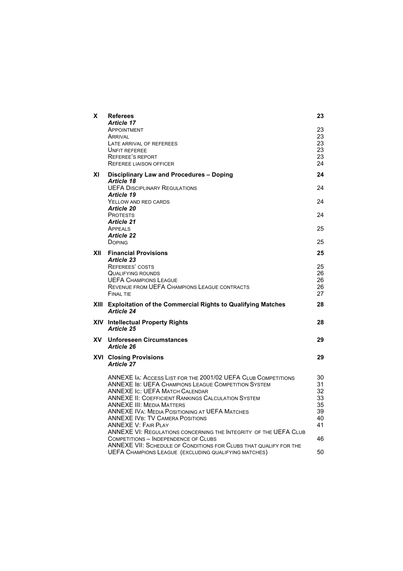| X   | <b>Referees</b><br><b>Article 17</b>                                                                                             | 23       |
|-----|----------------------------------------------------------------------------------------------------------------------------------|----------|
|     | APPOINTMENT<br>ARRIVAL                                                                                                           | 23<br>23 |
|     | LATE ARRIVAL OF REFEREES                                                                                                         | 23       |
|     | <b>UNFIT REFEREE</b><br><b>REFEREE'S REPORT</b>                                                                                  | 23<br>23 |
|     | <b>REFEREE LIAISON OFFICER</b>                                                                                                   | 24       |
| ΧI  | Disciplinary Law and Procedures - Doping<br><b>Article 18</b>                                                                    | 24       |
|     | <b>UEFA DISCIPLINARY REGULATIONS</b><br><b>Article 19</b>                                                                        | 24       |
|     | YELLOW AND RED CARDS                                                                                                             | 24       |
|     | <b>Article 20</b><br><b>PROTESTS</b>                                                                                             | 24       |
|     | <b>Article 21</b>                                                                                                                |          |
|     | APPEALS<br><b>Article 22</b>                                                                                                     | 25       |
|     | <b>DOPING</b>                                                                                                                    | 25       |
| XII | <b>Financial Provisions</b><br><b>Article 23</b>                                                                                 | 25       |
|     | <b>REFEREES' COSTS</b><br><b>QUALIFYING ROUNDS</b>                                                                               | 25<br>26 |
|     | <b>UEFA CHAMPIONS LEAGUE</b>                                                                                                     | 26       |
|     | <b>REVENUE FROM UEFA CHAMPIONS LEAGUE CONTRACTS</b><br><b>FINAL TIE</b>                                                          | 26<br>27 |
|     | XIII Exploitation of the Commercial Rights to Qualifying Matches<br><b>Article 24</b>                                            | 28       |
|     | XIV Intellectual Property Rights<br><b>Article 25</b>                                                                            | 28       |
| XV. | <b>Unforeseen Circumstances</b><br><b>Article 26</b>                                                                             | 29       |
|     | <b>XVI Closing Provisions</b><br><b>Article 27</b>                                                                               | 29       |
|     | ANNEXE IA: ACCESS LIST FOR THE 2001/02 UEFA CLUB COMPETITIONS                                                                    | 30       |
|     | <b>ANNEXE IB: UEFA CHAMPIONS LEAGUE COMPETITION SYSTEM</b>                                                                       | 31<br>32 |
|     | <b>ANNEXE IC: UEFA MATCH CALENDAR</b><br><b>ANNEXE II: COEFFICIENT RANKINGS CALCULATION SYSTEM</b>                               | 33       |
|     | <b>ANNEXE III: MEDIA MATTERS</b>                                                                                                 | 35       |
|     | <b>ANNEXE IVA: MEDIA POSITIONING AT UEFA MATCHES</b><br><b>ANNEXE IVB: TV CAMERA POSITIONS</b>                                   | 39<br>40 |
|     | <b>ANNEXE V: FAIR PLAY</b>                                                                                                       | 41       |
|     | <b>ANNEXE VI: REGULATIONS CONCERNING THE INTEGRITY OF THE UEFA CLUB</b><br><b>COMPETITIONS - INDEPENDENCE OF CLUBS</b>           | 46       |
|     | ANNEXE VII: SCHEDULE OF CONDITIONS FOR CLUBS THAT QUALIFY FOR THE<br><b>UEFA CHAMPIONS LEAGUE (EXCLUDING QUALIFYING MATCHES)</b> | 50       |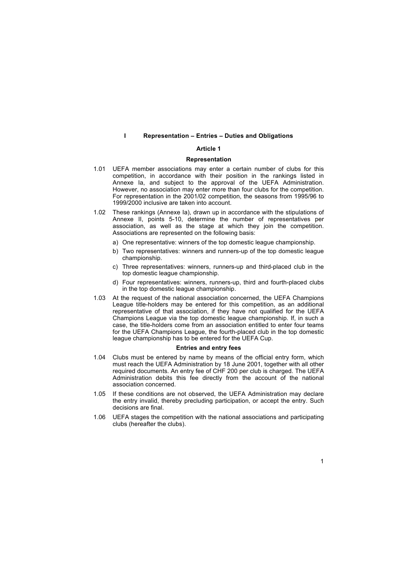#### **I** Representation – Entries – Duties and Obligations

## **Article 1**

#### **Representation**

- 1.01 UEFA member associations may enter a certain number of clubs for this competition, in accordance with their position in the rankings listed in Annexe Ia, and subject to the approval of the UEFA Administration. However, no association may enter more than four clubs for the competition. For representation in the 2001/02 competition, the seasons from 1995/96 to 1999/2000 inclusive are taken into account.
- 1.02 These rankings (Annexe Ia), drawn up in accordance with the stipulations of Annexe II, points 5-10, determine the number of representatives per association, as well as the stage at which they join the competition. Associations are represented on the following basis:
	- a) One representative: winners of the top domestic league championship.
	- b) Two representatives: winners and runners-up of the top domestic league championship.
	- c) Three representatives: winners, runners-up and third-placed club in the top domestic league championship.
	- d) Four representatives: winners, runners-up, third and fourth-placed clubs in the top domestic league championship.
- 1.03 At the request of the national association concerned, the UEFA Champions League title-holders may be entered for this competition, as an additional representative of that association, if they have not qualified for the UEFA Champions League via the top domestic league championship. If, in such a case, the title-holders come from an association entitled to enter four teams for the UEFA Champions League, the fourth-placed club in the top domestic league championship has to be entered for the UEFA Cup.

#### **Entries and entry fees**

- 1.04 Clubs must be entered by name by means of the official entry form, which must reach the UEFA Administration by 18 June 2001, together with all other required documents. An entry fee of CHF 200 per club is charged. The UEFA Administration debits this fee directly from the account of the national association concerned.
- 1.05 If these conditions are not observed, the UEFA Administration may declare the entry invalid, thereby precluding participation, or accept the entry. Such decisions are final.
- 1.06 UEFA stages the competition with the national associations and participating clubs (hereafter the clubs).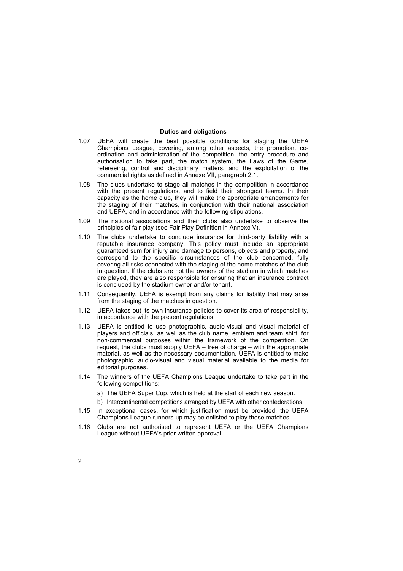## **Duties and obligations**

- 1.07 UEFA will create the best possible conditions for staging the UEFA Champions League, covering, among other aspects, the promotion, coordination and administration of the competition, the entry procedure and authorisation to take part, the match system, the Laws of the Game, refereeing, control and disciplinary matters, and the exploitation of the commercial rights as defined in Annexe VII, paragraph 2.1.
- 1.08 The clubs undertake to stage all matches in the competition in accordance with the present regulations, and to field their strongest teams. In their capacity as the home club, they will make the appropriate arrangements for the staging of their matches, in conjunction with their national association and UEFA, and in accordance with the following stipulations.
- 1.09 The national associations and their clubs also undertake to observe the principles of fair play (see Fair Play Definition in Annexe V).
- 1.10 The clubs undertake to conclude insurance for third-party liability with a reputable insurance company. This policy must include an appropriate guaranteed sum for injury and damage to persons, objects and property, and correspond to the specific circumstances of the club concerned, fully covering all risks connected with the staging of the home matches of the club in question. If the clubs are not the owners of the stadium in which matches are played, they are also responsible for ensuring that an insurance contract is concluded by the stadium owner and/or tenant.
- 1.11 Consequently, UEFA is exempt from any claims for liability that may arise from the staging of the matches in question.
- 1.12 UEFA takes out its own insurance policies to cover its area of responsibility, in accordance with the present regulations.
- 1.13 UEFA is entitled to use photographic, audio-visual and visual material of players and officials, as well as the club name, emblem and team shirt, for non-commercial purposes within the framework of the competition. On request, the clubs must supply UEFA  $-$  free of charge  $-$  with the appropriate material, as well as the necessary documentation. UEFA is entitled to make photographic, audio-visual and visual material available to the media for editorial purposes.
- 1.14 The winners of the UEFA Champions League undertake to take part in the following competitions:
	- a) The UEFA Super Cup, which is held at the start of each new season.
	- b) Intercontinental competitions arranged by UEFA with other confederations.
- 1.15 In exceptional cases, for which justification must be provided, the UEFA Champions League runners-up may be enlisted to play these matches.
- 1.16 Clubs are not authorised to represent UEFA or the UEFA Champions League without UEFA's prior written approval.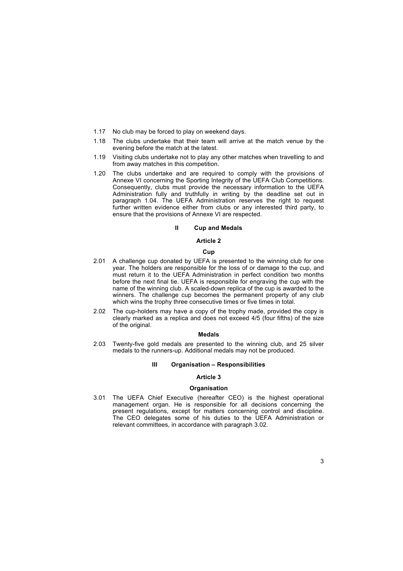- 1.17 No club may be forced to play on weekend days.
- 1.18 The clubs undertake that their team will arrive at the match venue by the evening before the match at the latest.
- 1.19 Visiting clubs undertake not to play any other matches when travelling to and from away matches in this competition.
- 1.20 The clubs undertake and are required to comply with the provisions of Annexe VI concerning the Sporting Integrity of the UEFA Club Competitions. Consequently, clubs must provide the necessary information to the UEFA Administration fully and truthfully in writing by the deadline set out in paragraph 1.04. The UEFA Administration reserves the right to request further written evidence either from clubs or any interested third party, to ensure that the provisions of Annexe VI are respected.

## **II Cup and Medals**

## **Article 2**

#### **Cup**

- 2.01 A challenge cup donated by UEFA is presented to the winning club for one year. The holders are responsible for the loss of or damage to the cup, and must return it to the UEFA Administration in perfect condition two months before the next final tie. UEFA is responsible for engraving the cup with the name of the winning club. A scaled-down replica of the cup is awarded to the winners. The challenge cup becomes the permanent property of any club which wins the trophy three consecutive times or five times in total.
- 2.02 The cup-holders may have a copy of the trophy made, provided the copy is clearly marked as a replica and does not exceed 4/5 (four fifths) of the size of the original.

#### **Medals**

2.03 Twenty-five gold medals are presented to the winning club, and 25 silver medals to the runners-up. Additional medals may not be produced.

## **III** Organisation - Responsibilities

## **Article 3**

#### **Organisation**

3.01 The UEFA Chief Executive (hereafter CEO) is the highest operational management organ. He is responsible for all decisions concerning the present regulations, except for matters concerning control and discipline. The CEO delegates some of his duties to the UEFA Administration or relevant committees, in accordance with paragraph 3.02*.*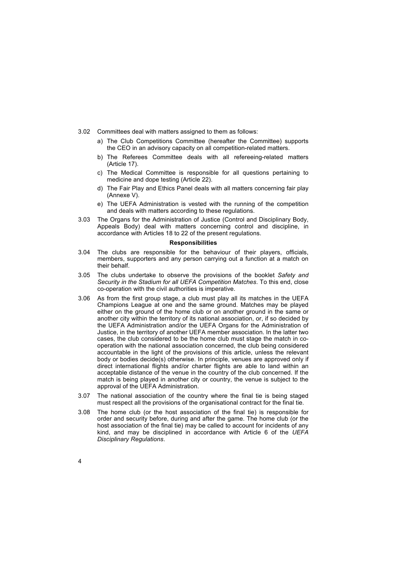- 3.02 Committees deal with matters assigned to them as follows:
	- a) The Club Competitions Committee (hereafter the Committee) supports the CEO in an advisory capacity on all competition-related matters.
	- b) The Referees Committee deals with all refereeing-related matters (Article 17).
	- c) The Medical Committee is responsible for all questions pertaining to medicine and dope testing (Article 22).
	- d) The Fair Play and Ethics Panel deals with all matters concerning fair play (Annexe V).
	- e) The UEFA Administration is vested with the running of the competition and deals with matters according to these regulations.
- 3.03 The Organs for the Administration of Justice (Control and Disciplinary Body, Appeals Body) deal with matters concerning control and discipline, in accordance with Articles 18 to 22 of the present regulations.

## **Responsibilities**

- 3.04 The clubs are responsible for the behaviour of their players, officials, members, supporters and any person carrying out a function at a match on their behalf.
- 3.05 The clubs undertake to observe the provisions of the booklet *Safety and Security in the Stadium for all UEFA Competition Matches*. To this end, close co-operation with the civil authorities is imperative.
- 3.06 As from the first group stage, a club must play all its matches in the UEFA Champions League at one and the same ground. Matches may be played either on the ground of the home club or on another ground in the same or another city within the territory of its national association, or, if so decided by the UEFA Administration and/or the UEFA Organs for the Administration of Justice, in the territory of another UEFA member association. In the latter two cases, the club considered to be the home club must stage the match in cooperation with the national association concerned, the club being considered accountable in the light of the provisions of this article, unless the relevant body or bodies decide(s) otherwise. In principle, venues are approved only if direct international flights and/or charter flights are able to land within an acceptable distance of the venue in the country of the club concerned. If the match is being played in another city or country, the venue is subject to the approval of the UEFA Administration.
- 3.07 The national association of the country where the final tie is being staged must respect all the provisions of the organisational contract for the final tie.
- 3.08 The home club (or the host association of the final tie) is responsible for order and security before, during and after the game. The home club (or the host association of the final tie) may be called to account for incidents of any kind, and may be disciplined in accordance with Article 6 of the *UEFA Disciplinary Regulations*.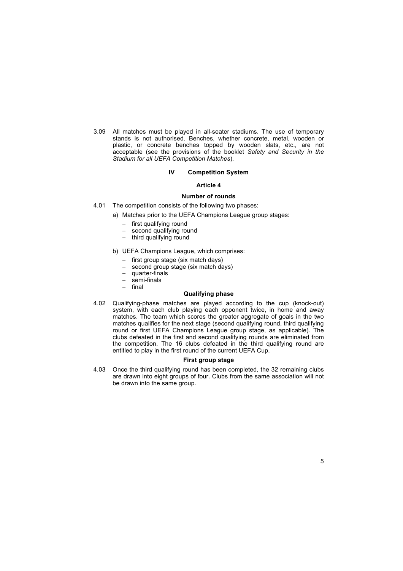acceptable (see the provisions of the booklet *Safety and Security in the Stadium for all UEFA Competition Matches*). 3.09 All matches must be played in all-seater stadiums. The use of temporary stands is not authorised. Benches, whether concrete, metal, wooden or plastic, or concrete benches topped by wooden slats, etc., are not

## **IV Competition System**

## **Article 4**

## **Number of rounds**

- 4.01 The competition consists of the following two phases:
	- a) Matches prior to the UEFA Champions League group stages:
		-
		- − first qualifying round<br>− second qualifying rou second qualifying round
		- − third qualifying round
	- b) UEFA Champions League, which comprises:
		- − first group stage (six match days)
		- second group stage (six match days)
		- − quarter-finals<br>− semi-finals
		- − semi-finals
		- − final

## **Qualifying phase**

4.02 Qualifying-phase matches are played according to the cup (knock-out) system, with each club playing each opponent twice, in home and away matches. The team which scores the greater aggregate of goals in the two matches qualifies for the next stage (second qualifying round, third qualifying round or first UEFA Champions League group stage, as applicable). The clubs defeated in the first and second qualifying rounds are eliminated from the competition. The 16 clubs defeated in the third qualifying round are entitled to play in the first round of the current UEFA Cup.

## **First group stage**

4.03 Once the third qualifying round has been completed, the 32 remaining clubs are drawn into eight groups of four. Clubs from the same association will not be drawn into the same group.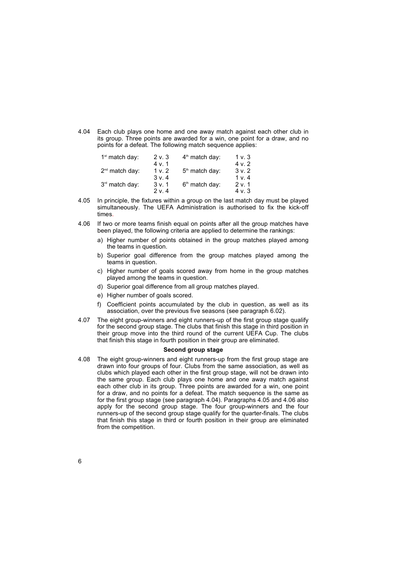4.04 Each club plays one home and one away match against each other club in its group. Three points are awarded for a win, one point for a draw, and no points for a defeat. The following match sequence applies:

| 1 <sup>st</sup> match day: | 2 v. 3 | $4th$ match day:           | 1 v. 3 |
|----------------------------|--------|----------------------------|--------|
|                            | 4 v.1  |                            | 4 v. 2 |
| $2nd$ match day:           | 1 v.2  | $5th$ match day:           | 3v.2   |
|                            | 3 v.4  |                            | 1 v.4  |
| 3rd match day:             | 3v.1   | 6 <sup>th</sup> match day: | 2 v 1  |
|                            | 2 v.4  |                            | 4 v. 3 |

- 4.05 In principle, the fixtures within a group on the last match day must be played simultaneously. The UEFA Administration is authorised to fix the kick-off times.
- 4.06 If two or more teams finish equal on points after all the group matches have been played, the following criteria are applied to determine the rankings:
	- a) Higher number of points obtained in the group matches played among the teams in question.
	- b) Superior goal difference from the group matches played among the teams in question.
	- c) Higher number of goals scored away from home in the group matches played among the teams in question.
	- d) Superior goal difference from all group matches played.
	- e) Higher number of goals scored.
	- f) Coefficient points accumulated by the club in question, as well as its association, over the previous five seasons (see paragraph 6.02).
- 4.07 The eight group-winners and eight runners-up of the first group stage qualify for the second group stage. The clubs that finish this stage in third position in their group move into the third round of the current UEFA Cup. The clubs that finish this stage in fourth position in their group are eliminated.

#### **Second group stage**

4.08 The eight group-winners and eight runners-up from the first group stage are drawn into four groups of four. Clubs from the same association, as well as clubs which played each other in the first group stage, will not be drawn into the same group. Each club plays one home and one away match against each other club in its group. Three points are awarded for a win, one point for a draw, and no points for a defeat. The match sequence is the same as for the first group stage (see paragraph 4.04). Paragraphs 4.05 and 4.06 also apply for the second group stage. The four group-winners and the four runners-up of the second group stage qualify for the quarter-finals. The clubs that finish this stage in third or fourth position in their group are eliminated from the competition.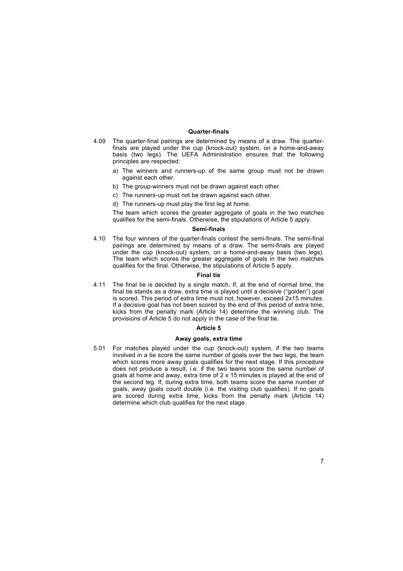## **Quarter-finals**

- 4.09 The quarter-final pairings are determined by means of a draw. The quarterfinals are played under the cup (knock-out) system, on a home-and-away basis (two legs). The UEFA Administration ensures that the following principles are respected:
	- a) The winners and runners-up of the same group must not be drawn against each other.
	- b) The group-winners must not be drawn against each other.
	- c) The runners-up must not be drawn against each other.
	- d) The runners-up must play the first leg at home.

The team which scores the greater aggregate of goals in the two matches qualifies for the semi-finals. Otherwise, the stipulations of Article 5 apply.

#### **Semi-finals**

4.10 The four winners of the quarter-finals contest the semi-finals. The semi-final pairings are determined by means of a draw. The semi-finals are played under the cup (knock-out) system, on a home-and-away basis (two legs). The team which scores the greater aggregate of goals in the two matches qualifies for the final. Otherwise, the stipulations of Article 5 apply.

#### **Final tie**

4.11 The final tie is decided by a single match. If, at the end of normal time, the final tie stands as a draw, extra time is played until a decisive ("golden") goal is scored. This period of extra time must not, however, exceed 2x15 minutes. If a decisive goal has not been scored by the end of this period of extra time, kicks from the penalty mark (Article 14) determine the winning club. The provisions of Article 5 do not apply in the case of the final tie.

#### **Article 5**

## **Away goals, extra time**

5.01 For matches played under the cup (knock-out) system, if the two teams involved in a tie score the same number of goals over the two legs, the team which scores more away goals qualifies for the next stage. If this procedure does not produce a result, i.e. if the two teams score the same number of goals at home and away, extra time of 2 x 15 minutes is played at the end of the second leg. If, during extra time, both teams score the same number of goals, away goals count double (i.e. the visiting club qualifies). If no goals are scored during extra time, kicks from the penalty mark (Article 14) determine which club qualifies for the next stage.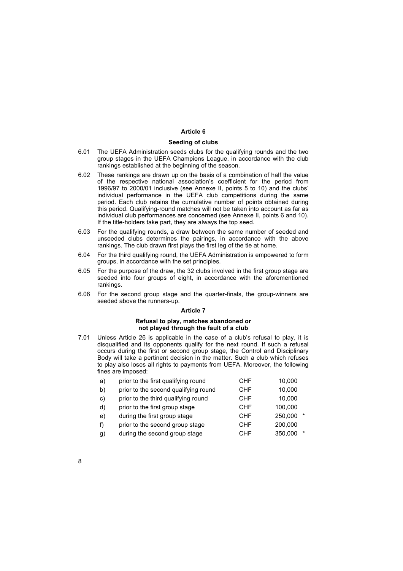## **Article 6**

#### **Seeding of clubs**

- 6.01 The UEFA Administration seeds clubs for the qualifying rounds and the two group stages in the UEFA Champions League, in accordance with the club rankings established at the beginning of the season.
- 6.02 These rankings are drawn up on the basis of a combination of half the value of the respective national association's coefficient for the period from 1996/97 to 2000/01 inclusive (see Annexe II, points 5 to 10) and the clubsí individual performance in the UEFA club competitions during the same period. Each club retains the cumulative number of points obtained during this period. Qualifying-round matches will not be taken into account as far as individual club performances are concerned (see Annexe II, points 6 and 10). If the title-holders take part, they are always the top seed.
- 6.03 For the qualifying rounds, a draw between the same number of seeded and unseeded clubs determines the pairings, in accordance with the above rankings. The club drawn first plays the first leg of the tie at home.
- 6.04 For the third qualifying round, the UEFA Administration is empowered to form groups, in accordance with the set principles.
- 6.05 For the purpose of the draw, the 32 clubs involved in the first group stage are seeded into four groups of eight, in accordance with the aforementioned rankings.
- 6.06 For the second group stage and the quarter-finals, the group-winners are seeded above the runners-up.

## **Article 7**

## **Refusal to play, matches abandoned or not played through the fault of a club**

7.01 Unless Article 26 is applicable in the case of a club's refusal to play, it is disqualified and its opponents qualify for the next round. If such a refusal occurs during the first or second group stage, the Control and Disciplinary Body will take a pertinent decision in the matter. Such a club which refuses to play also loses all rights to payments from UEFA. Moreover, the following fines are imposed:

| a)           | prior to the first qualifying round  | CHF        | 10,000            |
|--------------|--------------------------------------|------------|-------------------|
| b)           | prior to the second qualifying round | <b>CHF</b> | 10,000            |
| $\mathbf{C}$ | prior to the third qualifying round  | <b>CHF</b> | 10,000            |
| d)           | prior to the first group stage       | <b>CHF</b> | 100,000           |
| e)           | during the first group stage         | <b>CHF</b> | 250,000<br>$\ast$ |
| f)           | prior to the second group stage      | <b>CHF</b> | 200,000           |
| g)           | during the second group stage        | <b>CHF</b> | 350,000<br>$\ast$ |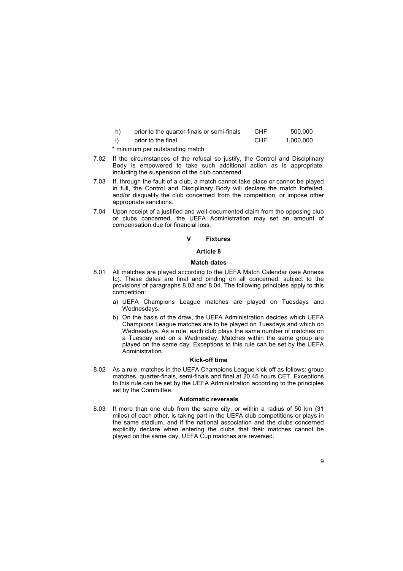| h) | prior to the quarter-finals or semi-finals | CHE        | 500.000   |
|----|--------------------------------------------|------------|-----------|
|    | prior to the final                         | <b>CHF</b> | 1.000.000 |

\* minimum per outstanding match

- 7.02 If the circumstances of the refusal so justify, the Control and Disciplinary Body is empowered to take such additional action as is appropriate, including the suspension of the club concerned.
- 7.03 If, through the fault of a club, a match cannot take place or cannot be played in full, the Control and Disciplinary Body will declare the match forfeited, and/or disqualify the club concerned from the competition, or impose other appropriate sanctions.
- 7.04 Upon receipt of a justified and well-documented claim from the opposing club or clubs concerned, the UEFA Administration may set an amount of compensation due for financial loss.

#### **V Fixtures**

#### **Article 8**

## **Match dates**

- 8.01 All matches are played according to the UEFA Match Calendar (see Annexe Ic). These dates are final and binding on all concerned, subject to the provisions of paragraphs 8.03 and 8.04. The following principles apply to this competition:
	- a) UEFA Champions League matches are played on Tuesdays and Wednesdays.
	- b) On the basis of the draw, the UEFA Administration decides which UEFA Champions League matches are to be played on Tuesdays and which on Wednesdays. As a rule, each club plays the same number of matches on a Tuesday and on a Wednesday. Matches within the same group are played on the same day. Exceptions to this rule can be set by the UEFA Administration.

## **Kick-off time**

8.02 As a rule, matches in the UEFA Champions League kick off as follows: group matches, quarter-finals, semi-finals and final at 20.45 hours CET. Exceptions to this rule can be set by the UEFA Administration according to the principles set by the Committee.

### **Automatic reversals**

8.03 If more than one club from the same city, or within a radius of 50 km (31 miles) of each other, is taking part in the UEFA club competitions or plays in the same stadium, and if the national association and the clubs concerned explicitly declare when entering the clubs that their matches cannot be played on the same day, UEFA Cup matches are reversed.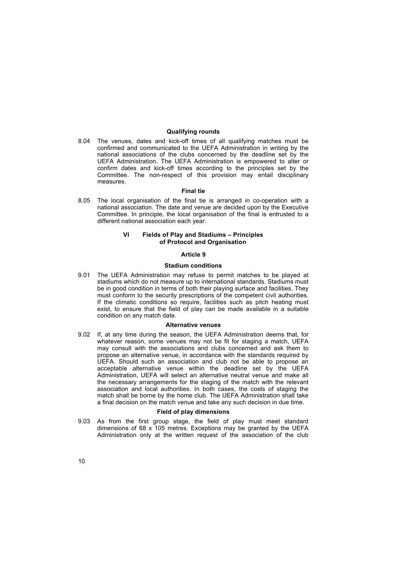## **Qualifying rounds**

8.04 The venues, dates and kick-off times of all qualifying matches must be confirmed and communicated to the UEFA Administration in writing by the national associations of the clubs concerned by the deadline set by the UEFA Administration. The UEFA Administration is empowered to alter or confirm dates and kick-off times according to the principles set by the Committee. The non-respect of this provision may entail disciplinary measures.

#### **Final tie**

8.05 The local organisation of the final tie is arranged in co-operation with a national association. The date and venue are decided upon by the Executive Committee. In principle, the local organisation of the final is entrusted to a different national association each year.

## **VI** Fields of Play and Stadiums - Principles **of Protocol and Organisation**

## **Article 9**

## **Stadium conditions**

9.01 The UEFA Administration may refuse to permit matches to be played at stadiums which do not measure up to international standards. Stadiums must be in good condition in terms of both their playing surface and facilities. They must conform to the security prescriptions of the competent civil authorities. If the climatic conditions so require, facilities such as pitch heating must exist, to ensure that the field of play can be made available in a suitable condition on any match date.

## **Alternative venues**

9.02 If, at any time during the season, the UEFA Administration deems that, for whatever reason, some venues may not be fit for staging a match, UEFA may consult with the associations and clubs concerned and ask them to propose an alternative venue, in accordance with the standards required by UEFA. Should such an association and club not be able to propose an acceptable alternative venue within the deadline set by the UEFA Administration, UEFA will select an alternative neutral venue and make all the necessary arrangements for the staging of the match with the relevant association and local authorities. In both cases, the costs of staging the match shall be borne by the home club. The UEFA Administration shall take a final decision on the match venue and take any such decision in due time.

## **Field of play dimensions**

9.03 As from the first group stage, the field of play must meet standard dimensions of 68 x 105 metres. Exceptions may be granted by the UEFA Administration only at the written request of the association of the club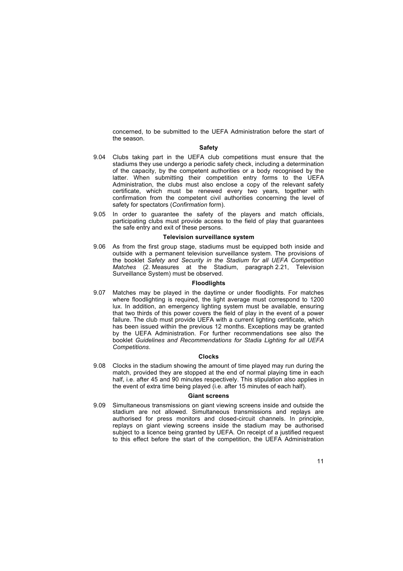concerned, to be submitted to the UEFA Administration before the start of the season.

#### **Safety**

- 9.04 Clubs taking part in the UEFA club competitions must ensure that the stadiums they use undergo a periodic safety check, including a determination of the capacity, by the competent authorities or a body recognised by the latter. When submitting their competition entry forms to the UEFA Administration, the clubs must also enclose a copy of the relevant safety certificate, which must be renewed every two years, together with confirmation from the competent civil authorities concerning the level of safety for spectators (*Confirmation* form).
- 9.05 In order to guarantee the safety of the players and match officials, participating clubs must provide access to the field of play that guarantees the safe entry and exit of these persons.

#### **Television surveillance system**

9.06 As from the first group stage, stadiums must be equipped both inside and outside with a permanent television surveillance system. The provisions of the booklet *Safety and Security in the Stadium for all UEFA Competition Matches* (2. Measures at the Stadium, paragraph 2.21, Television Surveillance System) must be observed.

#### **Floodlights**

9.07 Matches may be played in the daytime or under floodlights. For matches where floodlighting is required, the light average must correspond to 1200 lux. In addition, an emergency lighting system must be available, ensuring that two thirds of this power covers the field of play in the event of a power failure. The club must provide UEFA with a current lighting certificate, which has been issued within the previous 12 months. Exceptions may be granted by the UEFA Administration. For further recommendations see also the booklet *Guidelines and Recommendations for Stadia Lighting for all UEFA Competitions*.

#### **Clocks**

9.08 Clocks in the stadium showing the amount of time played may run during the match, provided they are stopped at the end of normal playing time in each half, i.e. after 45 and 90 minutes respectively. This stipulation also applies in the event of extra time being played (i.e. after 15 minutes of each half).

## **Giant screens**

9.09 Simultaneous transmissions on giant viewing screens inside and outside the stadium are not allowed. Simultaneous transmissions and replays are authorised for press monitors and closed-circuit channels. In principle, replays on giant viewing screens inside the stadium may be authorised subject to a licence being granted by UEFA. On receipt of a justified request to this effect before the start of the competition, the UEFA Administration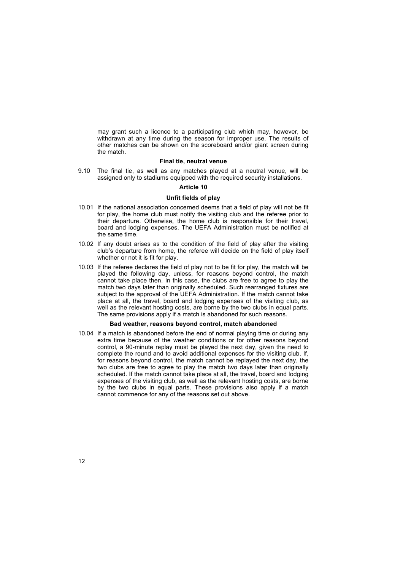may grant such a licence to a participating club which may, however, be withdrawn at any time during the season for improper use. The results of other matches can be shown on the scoreboard and/or giant screen during the match.

## **Final tie, neutral venue**

9.10 The final tie, as well as any matches played at a neutral venue, will be assigned only to stadiums equipped with the required security installations.

#### **Article 10**

#### **Unfit fields of play**

- 10.01 If the national association concerned deems that a field of play will not be fit for play, the home club must notify the visiting club and the referee prior to their departure. Otherwise, the home club is responsible for their travel, board and lodging expenses. The UEFA Administration must be notified at the same time.
- 10.02 If any doubt arises as to the condition of the field of play after the visiting clubís departure from home, the referee will decide on the field of play itself whether or not it is fit for play.
- 10.03 If the referee declares the field of play not to be fit for play, the match will be played the following day, unless, for reasons beyond control, the match cannot take place then. In this case, the clubs are free to agree to play the match two days later than originally scheduled. Such rearranged fixtures are subject to the approval of the UEFA Administration. If the match cannot take place at all, the travel, board and lodging expenses of the visiting club, as well as the relevant hosting costs, are borne by the two clubs in equal parts. The same provisions apply if a match is abandoned for such reasons.

#### **Bad weather, reasons beyond control, match abandoned**

10.04 If a match is abandoned before the end of normal playing time or during any extra time because of the weather conditions or for other reasons beyond control, a 90-minute replay must be played the next day, given the need to complete the round and to avoid additional expenses for the visiting club. If, for reasons beyond control, the match cannot be replayed the next day, the two clubs are free to agree to play the match two days later than originally scheduled. If the match cannot take place at all, the travel, board and lodging expenses of the visiting club, as well as the relevant hosting costs, are borne by the two clubs in equal parts. These provisions also apply if a match cannot commence for any of the reasons set out above.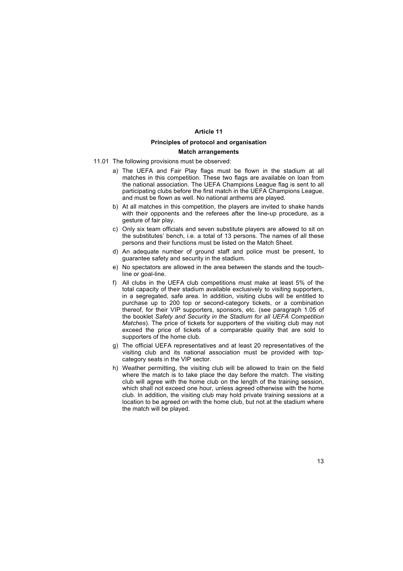## **Article 11**

#### **Principles of protocol and organisation**

## **Match arrangements**

- 11.01 The following provisions must be observed:
	- a) The UEFA and Fair Play flags must be flown in the stadium at all matches in this competition. These two flags are available on loan from the national association. The UEFA Champions League flag is sent to all participating clubs before the first match in the UEFA Champions League, and must be flown as well. No national anthems are played.
	- b) At all matches in this competition, the players are invited to shake hands with their opponents and the referees after the line-up procedure, as a gesture of fair play.
	- c) Only six team officials and seven substitute players are allowed to sit on the substitutes' bench, i.e. a total of 13 persons. The names of all these persons and their functions must be listed on the Match Sheet.
	- d) An adequate number of ground staff and police must be present, to guarantee safety and security in the stadium.
	- e) No spectators are allowed in the area between the stands and the touchline or goal-line.
	- f) All clubs in the UEFA club competitions must make at least 5% of the total capacity of their stadium available exclusively to visiting supporters, in a segregated, safe area. In addition, visiting clubs will be entitled to purchase up to 200 top or second-category tickets, or a combination thereof, for their VIP supporters, sponsors, etc. (see paragraph 1.05 of the booklet *Safety and Security in the Stadium for all UEFA Competition Matches*). The price of tickets for supporters of the visiting club may not exceed the price of tickets of a comparable quality that are sold to supporters of the home club.
	- g) The official UEFA representatives and at least 20 representatives of the visiting club and its national association must be provided with topcategory seats in the VIP sector.
	- h) Weather permitting, the visiting club will be allowed to train on the field where the match is to take place the day before the match. The visiting club will agree with the home club on the length of the training session, which shall not exceed one hour, unless agreed otherwise with the home club. In addition, the visiting club may hold private training sessions at a location to be agreed on with the home club, but not at the stadium where the match will be played.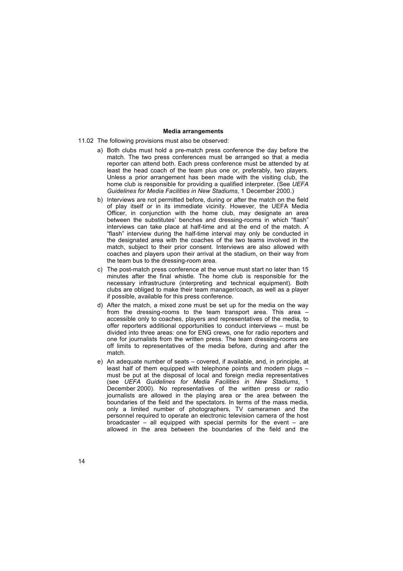## **Media arrangements**

- 11.02 The following provisions must also be observed:
	- reporter can attend both. Each press conference must be attended by at least the head coach of the team plus one or, preferably, two players. Unless a prior arrangement has been made with the visiting club, the home club is responsible for providing a qualified interpreter. (See *UEFA Guidelines for Media Facilities in New Stadiums*, 1 December 2000.) a) Both clubs must hold a pre-match press conference the day before the match. The two press conferences must be arranged so that a media
	- b) Interviews are not permitted before, during or after the match on the field of play itself or in its immediate vicinity. However, the UEFA Media Officer, in conjunction with the home club, may designate an area between the substitutes' benches and dressing-rooms in which "flash" interviews can take place at half-time and at the end of the match. A "flash" interview during the half-time interval may only be conducted in the designated area with the coaches of the two teams involved in the match, subject to their prior consent. Interviews are also allowed with coaches and players upon their arrival at the stadium, on their way from the team bus to the dressing-room area.
	- c) The post-match press conference at the venue must start no later than 15 minutes after the final whistle. The home club is responsible for the necessary infrastructure (interpreting and technical equipment). Both clubs are obliged to make their team manager/coach, as well as a player if possible, available for this press conference.
	- d) After the match, a mixed zone must be set up for the media on the way from the dressing-rooms to the team transport area. This area accessible only to coaches, players and representatives of the media, to offer reporters additional opportunities to conduct interviews  $-$  must be divided into three areas: one for ENG crews, one for radio reporters and one for journalists from the written press. The team dressing-rooms are off limits to representatives of the media before, during and after the match.
	- e) An adequate number of seats covered, if available, and, in principle, at least half of them equipped with telephone points and modem plugs  $$ must be put at the disposal of local and foreign media representatives (see *UEFA Guidelines for Media Facilities in New Stadiums*, 1 December 2000). No representatives of the written press or radio journalists are allowed in the playing area or the area between the boundaries of the field and the spectators. In terms of the mass media, only a limited number of photographers, TV cameramen and the personnel required to operate an electronic television camera of the host broadcaster  $-$  all equipped with special permits for the event  $-$  are allowed in the area between the boundaries of the field and the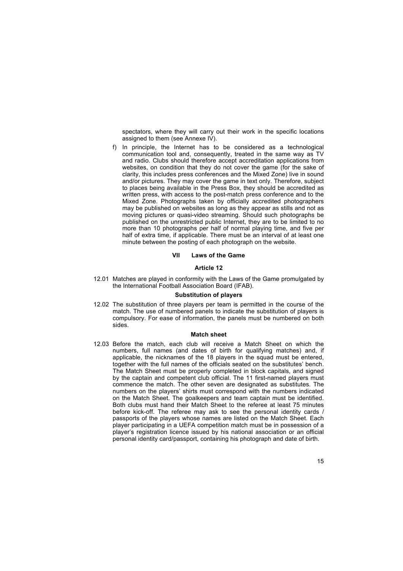spectators, where they will carry out their work in the specific locations assigned to them (see Annexe IV).

clarity, this includes press conferences and the Mixed Zone) live in sound and/or pictures. They may cover the game in text only. Therefore, subject to places being available in the Press Box, they should be accredited as written press, with access to the post-match press conference and to the Mixed Zone. Photographs taken by officially accredited photographers may be published on websites as long as they appear as stills and not as moving pictures or quasi-video streaming. Should such photographs be published on the unrestricted public Internet, they are to be limited to no more than 10 photographs per half of normal playing time, and five per half of extra time, if applicable. There must be an interval of at least one minute between the posting of each photograph on the website. f) In principle, the Internet has to be considered as a technological communication tool and, consequently, treated in the same way as TV and radio. Clubs should therefore accept accreditation applications from websites, on condition that they do not cover the game (for the sake of

## **VII Laws of the Game**

#### **Article 12**

12.01 Matches are played in conformity with the Laws of the Game promulgated by the International Football Association Board (IFAB).

#### **Substitution of players**

12.02 The substitution of three players per team is permitted in the course of the match. The use of numbered panels to indicate the substitution of players is compulsory. For ease of information, the panels must be numbered on both sides.

#### **Match sheet**

12.03 Before the match, each club will receive a Match Sheet on which the numbers, full names (and dates of birth for qualifying matches) and, if applicable, the nicknames of the 18 players in the squad must be entered, together with the full names of the officials seated on the substitutes' bench. The Match Sheet must be properly completed in block capitals, and signed by the captain and competent club official. The 11 first-named players must commence the match. The other seven are designated as substitutes. The numbers on the playersí shirts must correspond with the numbers indicated on the Match Sheet. The goalkeepers and team captain must be identified. Both clubs must hand their Match Sheet to the referee at least 75 minutes before kick-off. The referee may ask to see the personal identity cards / passports of the players whose names are listed on the Match Sheet. Each player participating in a UEFA competition match must be in possession of a playerís registration licence issued by his national association or an official personal identity card/passport, containing his photograph and date of birth.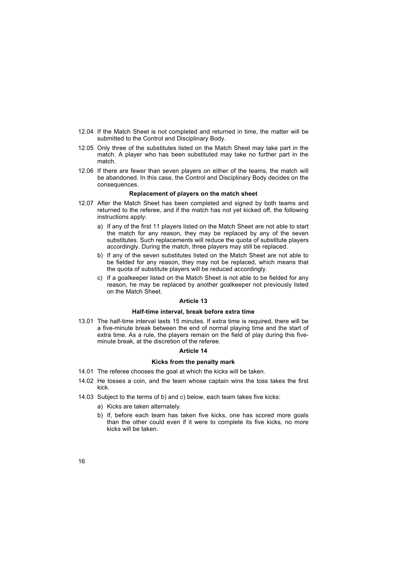- 12.04 If the Match Sheet is not completed and returned in time, the matter will be submitted to the Control and Disciplinary Body.
- 12.05 Only three of the substitutes listed on the Match Sheet may take part in the match. A player who has been substituted may take no further part in the match.
- 12.06 If there are fewer than seven players on either of the teams, the match will be abandoned. In this case, the Control and Disciplinary Body decides on the consequences.

## **Replacement of players on the match sheet**

- 12.07 After the Match Sheet has been completed and signed by both teams and returned to the referee, and if the match has not yet kicked off, the following instructions apply:
	- a) If any of the first 11 players listed on the Match Sheet are not able to start the match for any reason, they may be replaced by any of the seven substitutes. Such replacements will reduce the quota of substitute players accordingly. During the match, three players may still be replaced.
	- b) If any of the seven substitutes listed on the Match Sheet are not able to be fielded for any reason, they may not be replaced, which means that the quota of substitute players will be reduced accordingly.
	- c) If a goalkeeper listed on the Match Sheet is not able to be fielded for any reason, he may be replaced by another goalkeeper not previously listed on the Match Sheet.

## **Article 13**

## **Half-time interval, break before extra time**

13.01 The half-time interval lasts 15 minutes. If extra time is required, there will be a five-minute break between the end of normal playing time and the start of extra time. As a rule, the players remain on the field of play during this fiveminute break, at the discretion of the referee.

#### **Article 14**

## **Kicks from the penalty mark**

- 14.01 The referee chooses the goal at which the kicks will be taken.
- 14.02 He tosses a coin, and the team whose captain wins the toss takes the first kick.
- 14.03 Subject to the terms of b) and c) below, each team takes five kicks:
	- a) Kicks are taken alternately.
	- b) If, before each team has taken five kicks, one has scored more goals than the other could even if it were to complete its five kicks, no more kicks will be taken.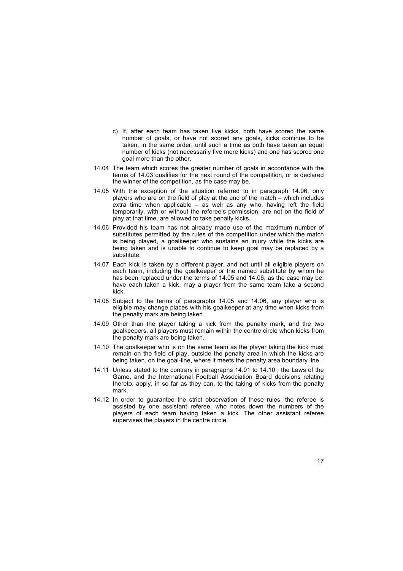- c) If, after each team has taken five kicks, both have scored the same number of goals, or have not scored any goals, kicks continue to be taken, in the same order, until such a time as both have taken an equal number of kicks (not necessarily five more kicks) and one has scored one goal more than the other.
- 14.04 The team which scores the greater number of goals in accordance with the terms of 14.03 qualifies for the next round of the competition, or is declared the winner of the competition, as the case may be.
- 14.05 With the exception of the situation referred to in paragraph 14.06, only players who are on the field of play at the end of the match  $-$  which includes extra time when applicable  $-\overline{a}$  well as any who, having left the field temporarily, with or without the referee's permission, are not on the field of play at that time, are allowed to take penalty kicks.
- 14.06 Provided his team has not already made use of the maximum number of substitutes permitted by the rules of the competition under which the match is being played, a goalkeeper who sustains an injury while the kicks are being taken and is unable to continue to keep goal may be replaced by a substitute.
- 14.07 Each kick is taken by a different player, and not until all eligible players on each team, including the goalkeeper or the named substitute by whom he has been replaced under the terms of 14.05 and 14.06, as the case may be, have each taken a kick, may a player from the same team take a second kick.
- 14.08 Subject to the terms of paragraphs 14.05 and 14.06, any player who is eligible may change places with his goalkeeper at any time when kicks from the penalty mark are being taken.
- 14.09 Other than the player taking a kick from the penalty mark, and the two goalkeepers, all players must remain within the centre circle when kicks from the penalty mark are being taken.
- 14.10 The goalkeeper who is on the same team as the player taking the kick must remain on the field of play, outside the penalty area in which the kicks are being taken, on the goal-line, where it meets the penalty area boundary line.
- 14.11 Unless stated to the contrary in paragraphs 14.01 to 14.10 , the Laws of the Game, and the International Football Association Board decisions relating thereto, apply, in so far as they can, to the taking of kicks from the penalty mark.
- 14.12 In order to guarantee the strict observation of these rules, the referee is assisted by one assistant referee, who notes down the numbers of the players of each team having taken a kick. The other assistant referee supervises the players in the centre circle.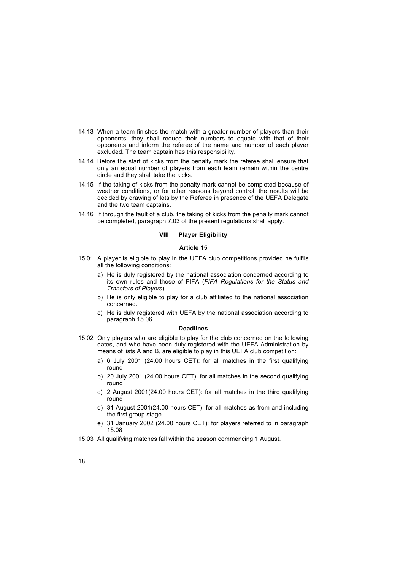- 14.13 When a team finishes the match with a greater number of players than their opponents, they shall reduce their numbers to equate with that of their opponents and inform the referee of the name and number of each player excluded. The team captain has this responsibility.
- 14.14 Before the start of kicks from the penalty mark the referee shall ensure that only an equal number of players from each team remain within the centre circle and they shall take the kicks.
- 14.15 If the taking of kicks from the penalty mark cannot be completed because of weather conditions, or for other reasons beyond control, the results will be decided by drawing of lots by the Referee in presence of the UEFA Delegate and the two team captains.
- 14.16 If through the fault of a club, the taking of kicks from the penalty mark cannot be completed, paragraph 7.03 of the present regulations shall apply.

## **VIII Player Eligibility**

## **Article 15**

- 15.01 A player is eligible to play in the UEFA club competitions provided he fulfils all the following conditions:
	- a) He is duly registered by the national association concerned according to its own rules and those of FIFA (*FIFA Regulations for the Status and Transfers of Players*).
	- b) He is only eligible to play for a club affiliated to the national association concerned.
	- c) He is duly registered with UEFA by the national association according to paragraph 15.06.

#### **Deadlines**

- 15.02 Only players who are eligible to play for the club concerned on the following dates, and who have been duly registered with the UEFA Administration by means of lists A and B, are eligible to play in this UEFA club competition:
	- a) 6 July 2001 (24.00 hours CET): for all matches in the first qualifying round
	- b) 20 July 2001 (24.00 hours CET): for all matches in the second qualifying round
	- c) 2 August 2001(24.00 hours CET): for all matches in the third qualifying round
	- d) 31 August 2001(24.00 hours CET): for all matches as from and including the first group stage
	- e) 31 January 2002 (24.00 hours CET): for players referred to in paragraph 15.08
- 15.03 All qualifying matches fall within the season commencing 1 August.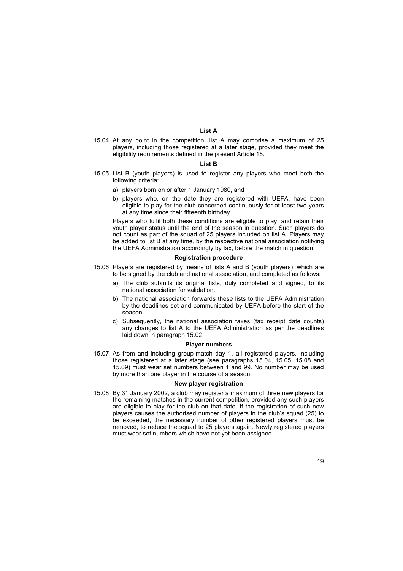## **List A**

15.04 At any point in the competition, list A may comprise a maximum of 25 players, including those registered at a later stage, provided they meet the eligibility requirements defined in the present Article 15.

#### **List B**

- 15.05 List B (youth players) is used to register any players who meet both the following criteria:
	- a) players born on or after 1 January 1980, and
	- b) players who, on the date they are registered with UEFA, have been eligible to play for the club concerned continuously for at least two years at any time since their fifteenth birthday.

Players who fulfil both these conditions are eligible to play, and retain their youth player status until the end of the season in question. Such players do not count as part of the squad of 25 players included on list A. Players may be added to list B at any time, by the respective national association notifying the UEFA Administration accordingly by fax, before the match in question.

## **Registration procedure**

- 15.06 Players are registered by means of lists A and B (youth players), which are to be signed by the club and national association, and completed as follows:
	- a) The club submits its original lists, duly completed and signed, to its national association for validation.
	- b) The national association forwards these lists to the UEFA Administration by the deadlines set and communicated by UEFA before the start of the season.
	- c) Subsequently, the national association faxes (fax receipt date counts) any changes to list A to the UEFA Administration as per the deadlines laid down in paragraph 15.02.

#### **Player numbers**

15.07 As from and including group-match day 1, all registered players, including those registered at a later stage (see paragraphs 15.04, 15.05, 15.08 and 15.09) must wear set numbers between 1 and 99. No number may be used by more than one player in the course of a season.

#### **New player registration**

15.08 By 31 January 2002, a club may register a maximum of three new players for the remaining matches in the current competition, provided any such players are eligible to play for the club on that date. If the registration of such new players causes the authorised number of players in the club's squad (25) to be exceeded, the necessary number of other registered players must be removed, to reduce the squad to 25 players again. Newly registered players must wear set numbers which have not yet been assigned.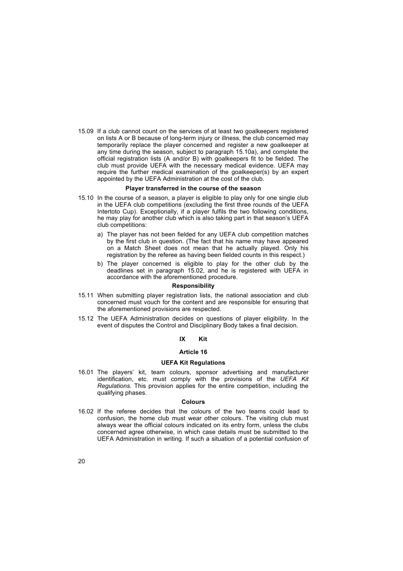club must provide UEFA with the necessary medical evidence. UEFA may require the further medical examination of the goalkeeper(s) by an expert appointed by the UEFA Administration at the cost of the club. 15.09 If a club cannot count on the services of at least two goalkeepers registered on lists A or B because of long-term injury or illness, the club concerned may temporarily replace the player concerned and register a new goalkeeper at any time during the season, subject to paragraph 15.10a), and complete the official registration lists (A and/or B) with goalkeepers fit to be fielded. The

#### **Player transferred in the course of the season**

- 15.10 In the course of a season, a player is eligible to play only for one single club in the UEFA club competitions (excluding the first three rounds of the UEFA Intertoto Cup). Exceptionally, if a player fulfils the two following conditions, he may play for another club which is also taking part in that season's UEFA club competitions:
	- a) The player has not been fielded for any UEFA club competition matches by the first club in question. (The fact that his name may have appeared on a Match Sheet does not mean that he actually played. Only his registration by the referee as having been fielded counts in this respect.)
	- b) The player concerned is eligible to play for the other club by the deadlines set in paragraph 15.02, and he is registered with UEFA in accordance with the aforementioned procedure.

#### **Responsibility**

- 15.11 When submitting player registration lists, the national association and club concerned must vouch for the content and are responsible for ensuring that the aforementioned provisions are respected.
- 15.12 The UEFA Administration decides on questions of player eligibility. In the event of disputes the Control and Disciplinary Body takes a final decision.

## **IX Kit**

## **Article 16**

#### **UEFA Kit Regulations**

16.01 The players' kit, team colours, sponsor advertising and manufacturer identification, etc. must comply with the provisions of the *UEFA Kit Regulations*. This provision applies for the entire competition, including the qualifying phases.

#### **Colours**

16.02 If the referee decides that the colours of the two teams could lead to confusion, the home club must wear other colours. The visiting club must always wear the official colours indicated on its entry form, unless the clubs concerned agree otherwise, in which case details must be submitted to the UEFA Administration in writing. If such a situation of a potential confusion of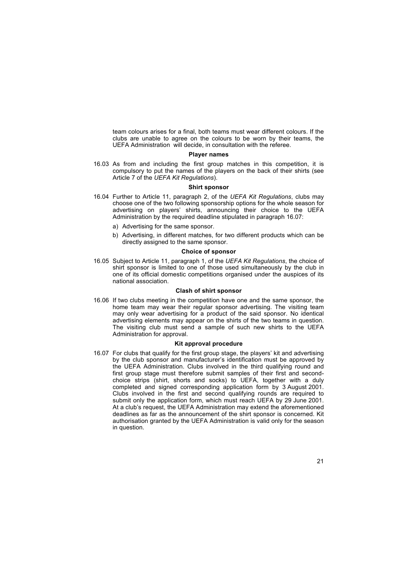team colours arises for a final, both teams must wear different colours. If the clubs are unable to agree on the colours to be worn by their teams, the UEFA Administration will decide, in consultation with the referee.

## **Player names**

16.03 As from and including the first group matches in this competition, it is compulsory to put the names of the players on the back of their shirts (see Article 7 of the *UEFA Kit Regulations*).

## **Shirt sponsor**

- 16.04 Further to Article 11, paragraph 2, of the *UEFA Kit Regulations*, clubs may choose one of the two following sponsorship options for the whole season for advertising on players' shirts, announcing their choice to the UEFA Administration by the required deadline stipulated in paragraph 16.07:
	- a) Advertising for the same sponsor.
	- b) Advertising, in different matches, for two different products which can be directly assigned to the same sponsor.

## **Choice of sponsor**

16.05 Subject to Article 11, paragraph 1, of the *UEFA Kit Regulations*, the choice of shirt sponsor is limited to one of those used simultaneously by the club in one of its official domestic competitions organised under the auspices of its national association.

#### **Clash of shirt sponsor**

16.06 If two clubs meeting in the competition have one and the same sponsor, the home team may wear their regular sponsor advertising. The visiting team may only wear advertising for a product of the said sponsor. No identical advertising elements may appear on the shirts of the two teams in question. The visiting club must send a sample of such new shirts to the UEFA Administration for approval.

#### **Kit approval procedure**

16.07 For clubs that qualify for the first group stage, the players' kit and advertising by the club sponsor and manufacturer's identification must be approved by the UEFA Administration. Clubs involved in the third qualifying round and first group stage must therefore submit samples of their first and secondchoice strips (shirt, shorts and socks) to UEFA, together with a duly completed and signed corresponding application form by 3 August 2001. Clubs involved in the first and second qualifying rounds are required to submit only the application form, which must reach UEFA by 29 June 2001. At a club's request, the UEFA Administration may extend the aforementioned deadlines as far as the announcement of the shirt sponsor is concerned. Kit authorisation granted by the UEFA Administration is valid only for the season in question.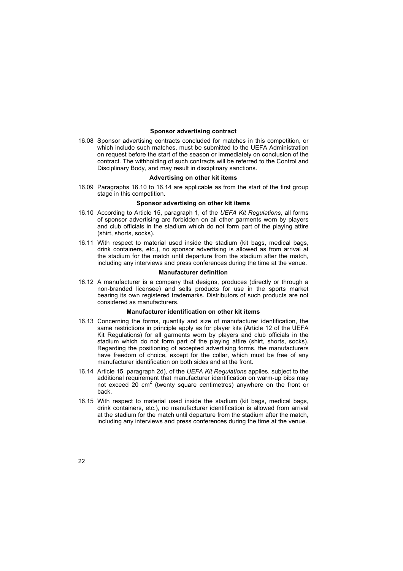## **Sponsor advertising contract**

contract. The withholding of such contracts will be referred to the Control and Disciplinary Body, and may result in disciplinary sanctions. 16.08 Sponsor advertising contracts concluded for matches in this competition, or which include such matches, must be submitted to the UEFA Administration on request before the start of the season or immediately on conclusion of the

## **Advertising on other kit items**

16.09 Paragraphs 16.10 to 16.14 are applicable as from the start of the first group stage in this competition.

#### **Sponsor advertising on other kit items**

- 16.10 According to Article 15, paragraph 1, of the *UEFA Kit Regulations*, all forms of sponsor advertising are forbidden on all other garments worn by players and club officials in the stadium which do not form part of the playing attire (shirt, shorts, socks).
- 16.11 With respect to material used inside the stadium (kit bags, medical bags, drink containers, etc.), no sponsor advertising is allowed as from arrival at the stadium for the match until departure from the stadium after the match, including any interviews and press conferences during the time at the venue.

#### **Manufacturer definition**

16.12 A manufacturer is a company that designs, produces (directly or through a non-branded licensee) and sells products for use in the sports market bearing its own registered trademarks. Distributors of such products are not considered as manufacturers.

#### **Manufacturer identification on other kit items**

- 16.13 Concerning the forms, quantity and size of manufacturer identification, the same restrictions in principle apply as for player kits (Article 12 of the UEFA Kit Regulations) for all garments worn by players and club officials in the stadium which do not form part of the playing attire (shirt, shorts, socks). Regarding the positioning of accepted advertising forms, the manufacturers have freedom of choice, except for the collar, which must be free of any manufacturer identification on both sides and at the front.
- 16.14 Article 15, paragraph 2d), of the *UEFA Kit Regulations* applies, subject to the additional requirement that manufacturer identification on warm-up bibs may not exceed 20 cm<sup>2</sup> (twenty square centimetres) anywhere on the front or back.
- 16.15 With respect to material used inside the stadium (kit bags, medical bags, drink containers, etc.), no manufacturer identification is allowed from arrival at the stadium for the match until departure from the stadium after the match, including any interviews and press conferences during the time at the venue.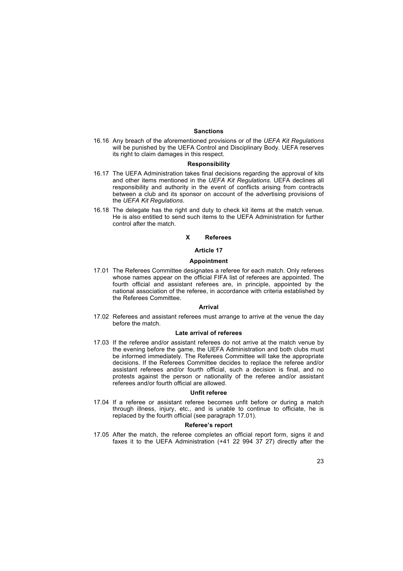#### **Sanctions**

16.16 Any breach of the aforementioned provisions or of the *UEFA Kit Regulations* will be punished by the UEFA Control and Disciplinary Body. UEFA reserves its right to claim damages in this respect.

#### **Responsibility**

- 16.17 The UEFA Administration takes final decisions regarding the approval of kits and other items mentioned in the *UEFA Kit Regulations*. UEFA declines all responsibility and authority in the event of conflicts arising from contracts between a club and its sponsor on account of the advertising provisions of the *UEFA Kit Regulations*.
- 16.18 The delegate has the right and duty to check kit items at the match venue. He is also entitled to send such items to the UEFA Administration for further control after the match.

## **X Referees**

## **Article 17**

#### **Appointment**

17.01 The Referees Committee designates a referee for each match. Only referees whose names appear on the official FIFA list of referees are appointed. The fourth official and assistant referees are, in principle, appointed by the national association of the referee, in accordance with criteria established by the Referees Committee.

#### **Arrival**

17.02 Referees and assistant referees must arrange to arrive at the venue the day before the match.

#### **Late arrival of referees**

17.03 If the referee and/or assistant referees do not arrive at the match venue by the evening before the game, the UEFA Administration and both clubs must be informed immediately. The Referees Committee will take the appropriate decisions. If the Referees Committee decides to replace the referee and/or assistant referees and/or fourth official, such a decision is final, and no protests against the person or nationality of the referee and/or assistant referees and/or fourth official are allowed.

#### **Unfit referee**

17.04 If a referee or assistant referee becomes unfit before or during a match through illness, injury, etc., and is unable to continue to officiate, he is replaced by the fourth official (see paragraph 17.01).

#### **Refereeís report**

17.05 After the match, the referee completes an official report form, signs it and faxes it to the UEFA Administration (+41 22 994 37 27) directly after the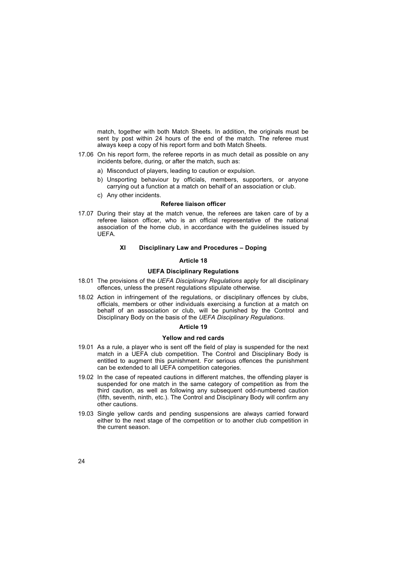match, together with both Match Sheets. In addition, the originals must be sent by post within 24 hours of the end of the match. The referee must always keep a copy of his report form and both Match Sheets.

- 17.06 On his report form, the referee reports in as much detail as possible on any incidents before, during, or after the match, such as:
	- a) Misconduct of players, leading to caution or expulsion.
	- b) Unsporting behaviour by officials, members, supporters, or anyone carrying out a function at a match on behalf of an association or club.
	- c) Any other incidents.

## **Referee liaison officer**

17.07 During their stay at the match venue, the referees are taken care of by a referee liaison officer, who is an official representative of the national association of the home club, in accordance with the guidelines issued by UEFA.

#### **XI** Disciplinary Law and Procedures - Doping

#### **Article 18**

## **UEFA Disciplinary Regulations**

- 18.01 The provisions of the *UEFA Disciplinary Regulations* apply for all disciplinary offences, unless the present regulations stipulate otherwise.
- 18.02 Action in infringement of the regulations, or disciplinary offences by clubs, officials, members or other individuals exercising a function at a match on behalf of an association or club, will be punished by the Control and Disciplinary Body on the basis of the *UEFA Disciplinary Regulations*.

#### **Article 19**

#### **Yellow and red cards**

- 19.01 As a rule, a player who is sent off the field of play is suspended for the next match in a UEFA club competition. The Control and Disciplinary Body is entitled to augment this punishment. For serious offences the punishment can be extended to all UEFA competition categories.
- 19.02 In the case of repeated cautions in different matches, the offending player is suspended for one match in the same category of competition as from the third caution, as well as following any subsequent odd-numbered caution (fifth, seventh, ninth, etc.). The Control and Disciplinary Body will confirm any other cautions.
- 19.03 Single yellow cards and pending suspensions are always carried forward either to the next stage of the competition or to another club competition in the current season.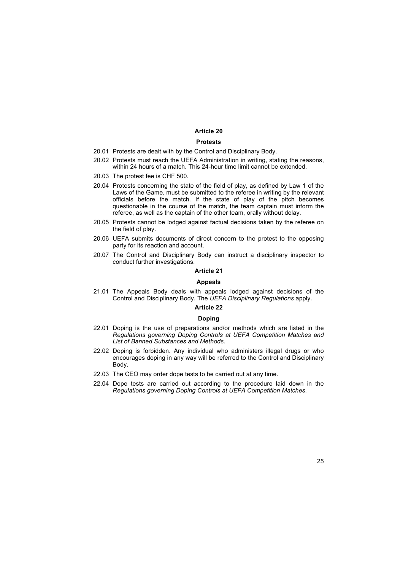## **Article 20**

## **Protests**

- 20.01 Protests are dealt with by the Control and Disciplinary Body.
- 20.02 Protests must reach the UEFA Administration in writing, stating the reasons, within 24 hours of a match. This 24-hour time limit cannot be extended.
- 20.03 The protest fee is CHF 500.
- 20.04 Protests concerning the state of the field of play, as defined by Law 1 of the Laws of the Game, must be submitted to the referee in writing by the relevant officials before the match. If the state of play of the pitch becomes questionable in the course of the match, the team captain must inform the referee, as well as the captain of the other team, orally without delay.
- 20.05 Protests cannot be lodged against factual decisions taken by the referee on the field of play.
- 20.06 UEFA submits documents of direct concern to the protest to the opposing party for its reaction and account.
- 20.07 The Control and Disciplinary Body can instruct a disciplinary inspector to conduct further investigations.

## **Article 21**

#### **Appeals**

21.01 The Appeals Body deals with appeals lodged against decisions of the Control and Disciplinary Body. The *UEFA Disciplinary Regulations* apply.

## **Article 22**

#### **Doping**

- 22.01 Doping is the use of preparations and/or methods which are listed in the *Regulations governing Doping Controls at UEFA Competition Matches and List of Banned Substances and Methods*.
- 22.02 Doping is forbidden. Any individual who administers illegal drugs or who encourages doping in any way will be referred to the Control and Disciplinary Body.
- 22.03 The CEO may order dope tests to be carried out at any time.
- 22.04 Dope tests are carried out according to the procedure laid down in the *Regulations governing Doping Controls at UEFA Competition Matches*.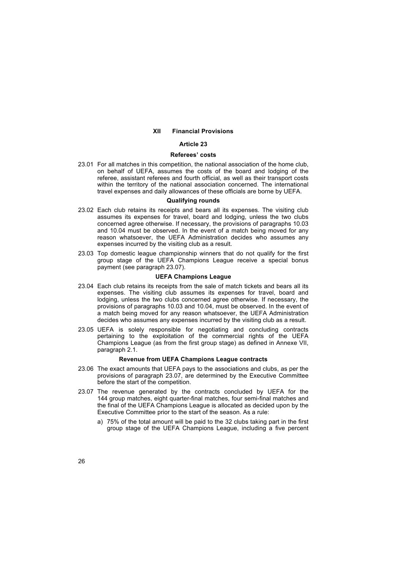#### **XII Financial Provisions**

#### **Article 23**

## **Refereesí costs**

23.01 For all matches in this competition, the national association of the home club, on behalf of UEFA, assumes the costs of the board and lodging of the referee, assistant referees and fourth official, as well as their transport costs within the territory of the national association concerned. The international travel expenses and daily allowances of these officials are borne by UEFA.

#### **Qualifying rounds**

- 23.02 Each club retains its receipts and bears all its expenses. The visiting club assumes its expenses for travel, board and lodging, unless the two clubs concerned agree otherwise. If necessary, the provisions of paragraphs 10.03 and 10.04 must be observed. In the event of a match being moved for any reason whatsoever, the UEFA Administration decides who assumes any expenses incurred by the visiting club as a result.
- 23.03 Top domestic league championship winners that do not qualify for the first group stage of the UEFA Champions League receive a special bonus payment (see paragraph 23.07).

## **UEFA Champions League**

- 23.04 Each club retains its receipts from the sale of match tickets and bears all its expenses. The visiting club assumes its expenses for travel, board and lodging, unless the two clubs concerned agree otherwise. If necessary, the provisions of paragraphs 10.03 and 10.04, must be observed. In the event of a match being moved for any reason whatsoever, the UEFA Administration decides who assumes any expenses incurred by the visiting club as a result.
- 23.05 UEFA is solely responsible for negotiating and concluding contracts pertaining to the exploitation of the commercial rights of the UEFA Champions League (as from the first group stage) as defined in Annexe VII, paragraph 2.1.

## **Revenue from UEFA Champions League contracts**

- 23.06 The exact amounts that UEFA pays to the associations and clubs, as per the provisions of paragraph 23.07, are determined by the Executive Committee before the start of the competition.
- 23.07 The revenue generated by the contracts concluded by UEFA for the 144 group matches, eight quarter-final matches, four semi-final matches and the final of the UEFA Champions League is allocated as decided upon by the Executive Committee prior to the start of the season. As a rule:
	- a) 75% of the total amount will be paid to the 32 clubs taking part in the first group stage of the UEFA Champions League, including a five percent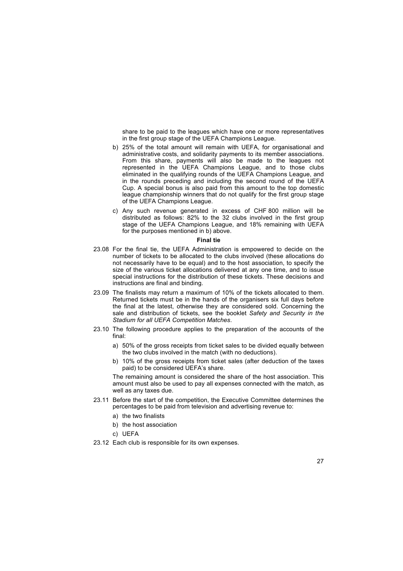share to be paid to the leagues which have one or more representatives in the first group stage of the UEFA Champions League.

- b) 25% of the total amount will remain with UEFA, for organisational and administrative costs, and solidarity payments to its member associations. From this share, payments will also be made to the leagues not represented in the UEFA Champions League, and to those clubs eliminated in the qualifying rounds of the UEFA Champions League, and in the rounds preceding and including the second round of the UEFA Cup. A special bonus is also paid from this amount to the top domestic league championship winners that do not qualify for the first group stage of the UEFA Champions League.
- c) Any such revenue generated in excess of CHF 800 million will be distributed as follows: 82% to the 32 clubs involved in the first group stage of the UEFA Champions League, and 18% remaining with UEFA for the purposes mentioned in b) above.

#### **Final tie**

- 23.08 For the final tie, the UEFA Administration is empowered to decide on the number of tickets to be allocated to the clubs involved (these allocations do not necessarily have to be equal) and to the host association, to specify the size of the various ticket allocations delivered at any one time, and to issue special instructions for the distribution of these tickets. These decisions and instructions are final and binding.
- 23.09 The finalists may return a maximum of 10% of the tickets allocated to them. Returned tickets must be in the hands of the organisers six full days before the final at the latest, otherwise they are considered sold. Concerning the sale and distribution of tickets, see the booklet *Safety and Security in the Stadium for all UEFA Competition Matches*.
- 23.10 The following procedure applies to the preparation of the accounts of the final:
	- a) 50% of the gross receipts from ticket sales to be divided equally between the two clubs involved in the match (with no deductions).
	- b) 10% of the gross receipts from ticket sales (after deduction of the taxes paid) to be considered UEFA's share.

The remaining amount is considered the share of the host association. This amount must also be used to pay all expenses connected with the match, as well as any taxes due.

- 23.11 Before the start of the competition, the Executive Committee determines the percentages to be paid from television and advertising revenue to:
	- a) the two finalists
	- b) the host association
	- c) UEFA
- 23.12 Each club is responsible for its own expenses.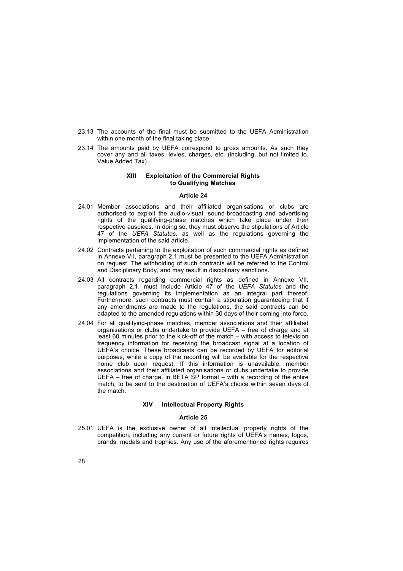- 23.13 The accounts of the final must be submitted to the UEFA Administration within one month of the final taking place.
- 23.14 The amounts paid by UEFA correspond to gross amounts. As such they cover any and all taxes, levies, charges, etc. (including, but not limited to, Value Added Tax).

## **XIII Exploitation of the Commercial Rights to Qualifying Matches**

## **Article 24**

- 24.01 Member associations and their affiliated organisations or clubs are authorised to exploit the audio-visual, sound-broadcasting and advertising rights of the qualifying-phase matches which take place under their respective auspices. In doing so, they must observe the stipulations of Article 47 of the *UEFA Statutes*, as well as the regulations governing the implementation of the said article.
- 24.02 Contracts pertaining to the exploitation of such commercial rights as defined in Annexe VII, paragraph 2.1 must be presented to the UEFA Administration on request. The withholding of such contracts will be referred to the Control and Disciplinary Body, and may result in disciplinary sanctions.
- 24.03 All contracts regarding commercial rights as defined in Annexe VII, paragraph 2.1, must include Article 47 of the *UEFA Statutes* and the regulations governing its implementation as an integral part thereof. Furthermore, such contracts must contain a stipulation guaranteeing that if any amendments are made to the regulations, the said contracts can be adapted to the amended regulations within 30 days of their coming into force.
- 24.04 For all qualifying-phase matches, member associations and their affiliated organisations or clubs undertake to provide UEFA  $-$  free of charge and at least 60 minutes prior to the kick-off of the match  $-$  with access to television frequency information for receiving the broadcast signal at a location of UEFAís choice. These broadcasts can be recorded by UEFA for editorial purposes, while a copy of the recording will be available for the respective home club upon request. If this information is unavailable, member associations and their affiliated organisations or clubs undertake to provide UEFA  $-$  free of charge, in BETA SP format  $-$  with a recording of the entire match, to be sent to the destination of UEFA's choice within seven days of the match.

## **XIV Intellectual Property Rights**

## **Article 25**

25.01 UEFA is the exclusive owner of all intellectual property rights of the competition, including any current or future rights of UEFAís names, logos, brands, medals and trophies. Any use of the aforementioned rights requires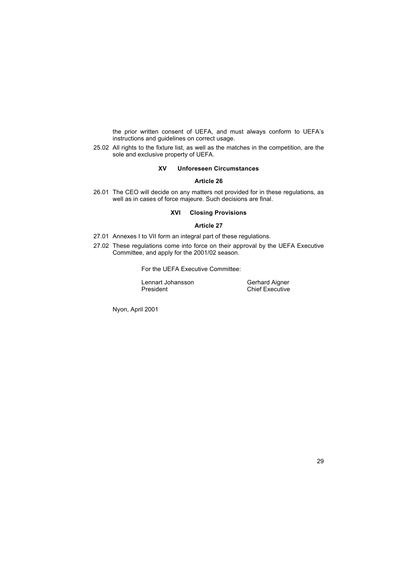the prior written consent of UEFA, and must always conform to UEFAís instructions and guidelines on correct usage.

25.02 All rights to the fixture list, as well as the matches in the competition, are the sole and exclusive property of UEFA.

## **XV Unforeseen Circumstances**

## **Article 26**

26.01 The CEO will decide on any matters not provided for in these regulations, as well as in cases of force majeure*.* Such decisions are final.

## **XVI Closing Provisions**

## **Article 27**

- 27.01 Annexes I to VII form an integral part of these regulations.
- 27.02 These regulations come into force on their approval by the UEFA Executive Committee, and apply for the 2001/02 season.

For the UEFA Executive Committee:

Lennart Johansson<br>President

Gerhard Aigner<br>Chief Executive

Nyon, April 2001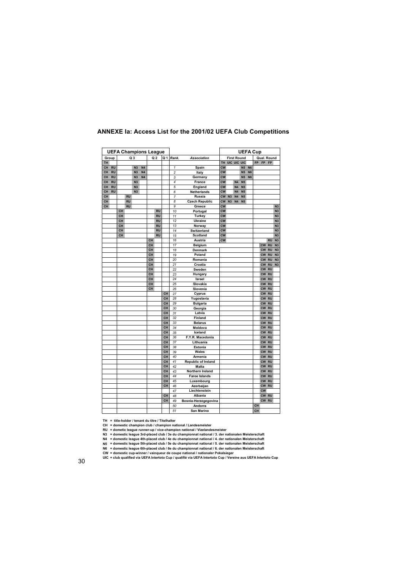|           |           | <b>UEFA Champions League</b> |           |                |                |                |           |           |                |                                            |           |                |                    |                    |                | <b>UEFA Cup</b> |                        |                        |                |
|-----------|-----------|------------------------------|-----------|----------------|----------------|----------------|-----------|-----------|----------------|--------------------------------------------|-----------|----------------|--------------------|--------------------|----------------|-----------------|------------------------|------------------------|----------------|
| Group     |           |                              |           | Q <sub>3</sub> |                | Q <sub>2</sub> |           | Q 1       | Rank.          | <b>Association</b>                         |           |                | <b>First Round</b> |                    |                |                 |                        | Qual. Round            |                |
| TH        |           |                              |           |                |                |                |           |           |                |                                            | TH        |                |                    | <b>UIC UIC UIC</b> |                | <b>FP</b>       | <b>FP</b>              | FP                     |                |
| CH        | <b>RU</b> |                              |           | N <sub>3</sub> | <b>N4</b>      |                |           |           | 1              | Spain                                      | <b>CW</b> |                |                    | <b>N5</b>          | <b>N6</b>      |                 |                        |                        |                |
| CH        | <b>RU</b> |                              |           | N <sub>3</sub> | N <sub>4</sub> |                |           |           | $\overline{c}$ | Italy                                      | <b>CW</b> |                |                    | <b>N5</b>          | <b>N6</b>      |                 |                        |                        |                |
| CH        | <b>RU</b> |                              |           | N <sub>3</sub> | <b>N4</b>      |                |           |           | 3              | Germany                                    | <b>CW</b> |                |                    | <b>N5</b>          | N <sub>6</sub> |                 |                        |                        |                |
| CH        | <b>RU</b> |                              |           | N <sub>3</sub> |                |                |           |           | 4              | France                                     | <b>CW</b> |                | <b>N4</b>          | N <sub>5</sub>     |                |                 |                        |                        |                |
| CH        | <b>RU</b> |                              |           | N <sub>3</sub> |                |                |           |           | 5              | England                                    | <b>CW</b> |                | <b>N4</b>          | N <sub>5</sub>     |                |                 |                        |                        |                |
| CH        | <b>RU</b> |                              |           | N <sub>3</sub> |                |                |           |           | 6              | Netherlands                                | <b>CW</b> |                | <b>N4</b>          | N <sub>5</sub>     |                |                 |                        |                        |                |
| CH        |           |                              | <b>RU</b> |                |                |                |           |           | 7              | <b>Russia</b>                              | <b>CW</b> | N <sub>3</sub> | <b>N4</b>          | N <sub>5</sub>     |                |                 |                        |                        |                |
| CH        |           |                              | <b>RU</b> |                |                |                |           |           | 8              | <b>Czech Republic</b>                      | <b>CW</b> | N <sub>3</sub> | N <sub>4</sub>     | N <sub>5</sub>     |                |                 |                        |                        |                |
| <b>CH</b> |           |                              | <b>RU</b> |                |                |                |           |           | 9              | Greece                                     | <b>CW</b> |                |                    |                    |                |                 |                        |                        | N <sub>3</sub> |
|           |           | CH                           |           |                |                |                | <b>RU</b> |           | 10             | Portugal                                   | <b>CW</b> |                |                    |                    |                |                 |                        |                        | N <sub>3</sub> |
|           |           | <b>CH</b>                    |           |                |                |                | <b>RU</b> |           | 11             | Turkey                                     | <b>CW</b> |                |                    |                    |                |                 |                        |                        | N <sub>3</sub> |
|           |           | CH                           |           |                |                |                | <b>RU</b> |           | 12             | Ukraine                                    | <b>CW</b> |                |                    |                    |                |                 |                        |                        | N <sub>3</sub> |
|           |           | CH                           |           |                |                |                | <b>RU</b> |           | 13             | Norway                                     | <b>CW</b> |                |                    |                    |                |                 |                        |                        | N <sub>3</sub> |
|           |           | CH                           |           |                |                |                | <b>RU</b> |           | 14             | Switzerland                                | <b>CW</b> |                |                    |                    |                |                 |                        |                        | N <sub>3</sub> |
|           |           | CH                           |           |                |                |                | <b>RU</b> |           | 15             | <b>Scotland</b>                            | <b>CW</b> |                |                    |                    |                |                 |                        |                        | N <sub>3</sub> |
|           |           |                              |           |                |                | CH             |           |           | 16             | Austria                                    | <b>CW</b> |                |                    |                    |                |                 |                        | <b>RU</b>              | N <sub>3</sub> |
|           |           |                              |           |                |                | CН             |           |           | 17             | <b>Belgium</b>                             |           |                |                    |                    |                |                 | <b>CW</b>              | <b>RU</b>              | N <sub>3</sub> |
|           |           |                              |           |                |                | CH             |           |           | 18             | Denmark                                    |           |                |                    |                    |                |                 | <b>CW</b>              | <b>RU</b>              | N <sub>3</sub> |
|           |           |                              |           |                |                | CH             |           |           | 19             | Poland                                     |           |                |                    |                    |                |                 | <b>CW</b>              | <b>RU</b>              | N <sub>3</sub> |
|           |           |                              |           |                |                | CH             |           |           | 20             | Romania                                    |           |                |                    |                    |                |                 | <b>CW</b>              | <b>RU</b>              | N <sub>3</sub> |
|           |           |                              |           |                |                | CH             |           |           | 21             | Croatia                                    |           |                |                    |                    |                |                 | <b>CW</b>              | <b>RU</b>              | N <sub>3</sub> |
|           |           |                              |           |                |                | CH             |           |           | 22             | Sweden                                     |           |                |                    |                    |                |                 | <b>CW</b>              | <b>RU</b>              |                |
|           |           |                              |           |                |                | CH             |           |           | 23             | Hungary                                    |           |                |                    |                    |                |                 | <b>CW</b>              | <b>RU</b>              |                |
|           |           |                              |           |                |                | CH             |           |           | 24             | <b>Israel</b>                              |           |                |                    |                    |                |                 | <b>CW</b>              | <b>RU</b>              |                |
|           |           |                              |           |                |                | CH             |           |           | 25             | Slovakia                                   |           |                |                    |                    |                |                 | <b>CW</b>              | <b>RU</b>              |                |
|           |           |                              |           |                |                | CH             |           |           | 26             | Slovenia                                   |           |                |                    |                    |                |                 | CW RU                  |                        |                |
|           |           |                              |           |                |                |                |           | CH        | 27             | Cyprus                                     |           |                |                    |                    |                |                 | CW                     | <b>RU</b>              |                |
|           |           |                              |           |                |                |                |           | CH        | 28             |                                            |           |                |                    |                    |                |                 | CW RU                  |                        |                |
|           |           |                              |           |                |                |                |           | CH        | 29             | Yugoslavia                                 |           |                |                    |                    |                |                 | <b>CW</b>              | <b>RU</b>              |                |
|           |           |                              |           |                |                |                |           | <b>CH</b> | 30             | <b>Bulgaria</b>                            |           |                |                    |                    |                |                 | CW RU                  |                        |                |
|           |           |                              |           |                |                |                |           | CH        | 31             | Georgia                                    |           |                |                    |                    |                |                 | <b>CW</b>              | <b>RU</b>              |                |
|           |           |                              |           |                |                |                |           | <b>CH</b> | 32             | Latvia                                     |           |                |                    |                    |                |                 | CW RU                  |                        |                |
|           |           |                              |           |                |                |                |           | CH        |                | Finland                                    |           |                |                    |                    |                |                 |                        |                        |                |
|           |           |                              |           |                |                |                |           | CH        | 33<br>34       | <b>Belarus</b>                             |           |                |                    |                    |                |                 | CW RU<br>CW RU         |                        |                |
|           |           |                              |           |                |                |                |           |           |                | Moldova                                    |           |                |                    |                    |                |                 |                        |                        |                |
|           |           |                              |           |                |                |                |           | CH<br>CH  | 35<br>36       | Iceland<br>F.Y.R. Macedonia                |           |                |                    |                    |                |                 | <b>CW</b>              | <b>RU</b>              |                |
|           |           |                              |           |                |                |                |           | CH        | 37             | Lithuania                                  |           |                |                    |                    |                |                 | <b>CW</b><br><b>CW</b> | <b>RU</b><br><b>RU</b> |                |
|           |           |                              |           |                |                |                |           | CH        | 38             | Estonia                                    |           |                |                    |                    |                |                 | <b>CW</b>              | <b>RU</b>              |                |
|           |           |                              |           |                |                |                |           | CH        |                | Wales                                      |           |                |                    |                    |                |                 | <b>CW</b>              | <b>RU</b>              |                |
|           |           |                              |           |                |                |                |           | CH        | 39             |                                            |           |                |                    |                    |                |                 | <b>CW</b>              | <b>RU</b>              |                |
|           |           |                              |           |                |                |                |           | CH        | 40<br>41       | Armenia                                    |           |                |                    |                    |                |                 | <b>CW</b>              | <b>RU</b>              |                |
|           |           |                              |           |                |                |                |           | <b>CH</b> | 42             | <b>Republic of Ireland</b><br><b>Malta</b> |           |                |                    |                    |                |                 | <b>CW</b>              | <b>RU</b>              |                |
|           |           |                              |           |                |                |                |           | CH        | 43             | Northern Ireland                           |           |                |                    |                    |                |                 | <b>CW</b>              | <b>RU</b>              |                |
|           |           |                              |           |                |                |                |           | CH        | 44             | <b>Faroe Islands</b>                       |           |                |                    |                    |                |                 | <b>CW</b>              | <b>RU</b>              |                |
|           |           |                              |           |                |                |                |           | CH        | 45             |                                            |           |                |                    |                    |                |                 | <b>CW</b>              | <b>RU</b>              |                |
|           |           |                              |           |                |                |                |           | CH        | 46             | Luxembourg<br>Azerbaijan                   |           |                |                    |                    |                |                 | <b>CW</b>              | <b>RU</b>              |                |
|           |           |                              |           |                |                |                |           |           | 47             | Liechtenstein                              |           |                |                    |                    |                |                 | <b>CW</b>              |                        |                |
|           |           |                              |           |                |                |                |           | CH        |                |                                            |           |                |                    |                    |                |                 | CW RU                  |                        |                |
|           |           |                              |           |                |                |                |           |           | 48             | <b>Albania</b>                             |           |                |                    |                    |                |                 |                        |                        |                |
|           |           |                              |           |                |                |                |           | CH        | 49             | Bosnia-Herzegegovina                       |           |                |                    |                    |                |                 | CW RU                  |                        |                |
|           |           |                              |           |                |                |                |           |           | 50             | Andorra                                    |           |                |                    |                    |                | CH              |                        |                        |                |
|           |           |                              |           |                |                |                |           |           | 51             | <b>San Marino</b>                          |           |                |                    |                    |                | CH              |                        |                        |                |

## **ANNEXE Ia: Access List for the 2001/02 UEFA Club Competitions**

**TH = title-holder / tenant du titre / Titelhalter**

CH = domestic champion club / champion national / Landesmeister<br>RU = dometic league runner-up / vice-champion national / Vizelandesmeister<br>N3 = domestic league 3rd-placed club / 3e du championnat national / 3. der national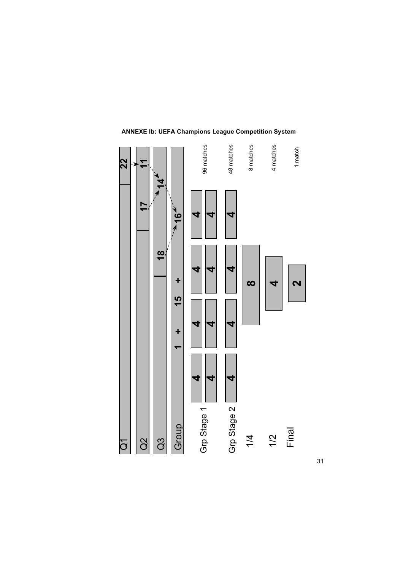

## **ANNEXE Ib: UEFA Champions League Competition System**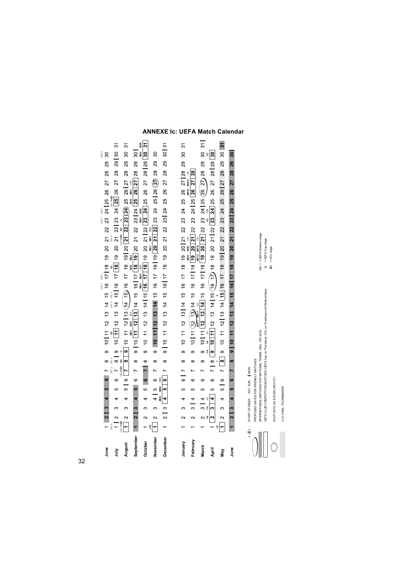## **ANNEXE Ic: UEFA Match Calendar**

|                |                                                        |          |                                                                                       |           |           |                |                           |           |                                                                                                                 |            |  |                                                                          | UIC <sub>1</sub><br>UIC <sub>1</sub> |                    |           |                              |           | UIC1 | $\frac{1}{2}$ |    |                |                  |                |     | UIC <sub>2</sub>        |                      |
|----------------|--------------------------------------------------------|----------|---------------------------------------------------------------------------------------|-----------|-----------|----------------|---------------------------|-----------|-----------------------------------------------------------------------------------------------------------------|------------|--|--------------------------------------------------------------------------|--------------------------------------|--------------------|-----------|------------------------------|-----------|------|---------------|----|----------------|------------------|----------------|-----|-------------------------|----------------------|
| June           | $\sim$<br>$\overline{\phantom{0}}$<br>UIC <sub>2</sub> | m        | ¢                                                                                     | <u>မာ</u> | မ         | $\overline{ }$ | $UIC2$ $UIC2$<br>$\infty$ |           | 9 10 11 12 13 14 15 16 17 18 19 20 21 22 23 24 25 26                                                            |            |  | UIC 3 UIC 3                                                              |                                      |                    |           | UIC <sub>3</sub>             |           |      |               |    |                | 27               | $\frac{8}{2}$  | న్ల | $\overline{30}$         |                      |
| 言              | $\sim$                                                 | S        | 4                                                                                     | 5         | 6         |                | $\overline{8}$            |           | 9 10 11 12 13 14 15 16 17 18 19 20 21 22 23 24 25 26                                                            |            |  |                                                                          |                                      |                    |           |                              |           |      |               |    |                | $\overline{27}$  | 28             | 29  | $\approx$               | 51                   |
| August         | $\sim$<br>JIC 4+Q2                                     | 3        | 4                                                                                     | မာ        | $\circ$   | JIC5+Q3        | œ                         |           | 9 10 11 12   13 ① 4 16 0 17 18 19   20 <mark>21 22   23</mark> 24 25 26   27                                    | ND1<br>MD1 |  |                                                                          |                                      |                    |           |                              | IC5+Q3 Q3 |      |               |    | NID3           |                  | $\frac{8}{2}$  | 29  | 30                      | 5                    |
| September      | $\mathbf{\tilde{z}}$                                   | m        | 4                                                                                     | სი        | O         |                | ∞                         |           | 9   10 <mark>[11 12   13</mark>   14 15 16   17 <mark>  18 19</mark> 20 21 22 23   24 <mark>  25 26   27</mark> |            |  |                                                                          |                                      | <b>MD2 MD2</b>     |           |                              |           |      |               | ë  |                |                  | $\frac{28}{2}$ | ని  | 30                      |                      |
| October        | $\overline{\mathsf{C}}$                                | က        | 4                                                                                     | ယ         | $\bullet$ |                | $\infty$                  | $\circ$   |                                                                                                                 |            |  | 10 11 12 13 14 15 <mark>16 17 18</mark> 19 20 21 22 23 24 25 26 27 28 29 |                                      |                    |           |                              |           |      |               |    |                |                  |                |     | ∣ິື                     | $\frac{1}{3}$<br>MD6 |
| November       | $\sim$<br>$\frac{1}{2}$                                | 6        | 4                                                                                     | LO        | 6         | $\overline{ }$ | $\infty$                  |           | 9 10 11 12 13 14 15 16 17 18 19 20 21 22 23 24 25 26 $\{2\}$                                                    |            |  |                                                                          |                                      |                    |           |                              |           |      |               |    |                |                  | $\frac{8}{2}$  | 29  | 30                      |                      |
| December       | $\sim$                                                 | $\infty$ |                                                                                       | L۵        | o         |                | ∞                         |           | 9    10 11 12 13 14 15 16    17 18 19 20 21 22 23    24 25 26 27 28                                             |            |  |                                                                          |                                      |                    |           |                              |           |      |               |    |                |                  |                | 29  | $\overline{30}$         | $\tilde{e}$          |
|                |                                                        |          |                                                                                       |           |           |                |                           |           |                                                                                                                 |            |  |                                                                          |                                      |                    |           |                              |           |      |               |    |                |                  |                |     |                         |                      |
| January        | $\mathbf{\Omega}$                                      | 3        | 4                                                                                     | 5         | o         | N              | ∞                         | $\circ$   |                                                                                                                 |            |  | $10$ $11$ $12$ $13$ $14$ $15$ $16$ $17$ $18$                             |                                      |                    | Balk      | 19 20 21 22 23               |           |      |               |    | 24 25 26 27 28 | ND <sub>10</sub> |                | ని  | $\approx$               | 51                   |
| February       | $\mathbf{\Omega}$                                      | က        | 4                                                                                     | 5         | ဖ         |                | $\infty$                  | თ         |                                                                                                                 |            |  | $10$ $11$ (12 13) 14 15 16 17 18 19 20 21 22 23 24 25 26                 |                                      |                    |           |                              |           |      |               |    |                | 27   28          |                |     |                         |                      |
| March          |                                                        | က        | 4                                                                                     | မာ        | ဖ         |                | ∞                         | $\circ$   |                                                                                                                 |            |  | 10 11 12 13 14 15 16 17 18 19 20 21 22 23 24 25 26 27 28 29 30 31        |                                      | VD12               | NID12     | $\frac{4}{11}$               |           |      |               |    |                |                  |                |     |                         |                      |
| April          | $\sim$<br>$\overline{a}$                               |          | 4                                                                                     | 5         | ဖ         | $\overline{ }$ | $\infty$                  | $\bullet$ |                                                                                                                 | 1/2        |  | $\frac{10}{11}$ 11 12 13 14 15 (16 17) 18 19 20 21 22 23 24 25           |                                      |                    |           |                              |           |      |               |    | 8              | 27               | 28 29          |     | $\overline{\mathbb{P}}$ |                      |
| Nay            | $\sim$<br>$\overline{ }$                               | ∞        | 4                                                                                     | ဖ         | $\circ$   | $\overline{1}$ | $\overline{8}$            | တ         |                                                                                                                 |            |  | 10 11 12 13 14 15 16 17 18 19 20                                         |                                      |                    |           |                              | 21 22 23  |      | 24            | 25 | 26             | $\overline{27}$  | 28             | 29  | 30                      | $\overline{3}$       |
| <b>June</b>    | $\mathbf{\tilde{z}}$                                   | m        | 4                                                                                     | <u>မာ</u> | ဖ         |                | ∞                         |           | $9 - 10$ 11 12 13 14 15 16 17 18 19                                                                             |            |  |                                                                          |                                      |                    | <u>20</u> | $\overline{21}$              | 22        |      | 23   24       | 25 | 26             | 27               | 28             | ನಿ  | $30\,$                  |                      |
|                |                                                        |          |                                                                                       |           |           |                |                           |           |                                                                                                                 |            |  |                                                                          |                                      |                    |           |                              |           |      |               |    |                |                  |                |     |                         |                      |
| $\cdots$ x y z |                                                        |          | PROPOSED DATES FOR FRIENDLY MATCHES<br>START OF WEEK: SAT SUN   MON                   |           |           |                |                           |           |                                                                                                                 |            |  |                                                                          |                                      |                    |           |                              |           |      |               |    |                |                  |                |     |                         |                      |
|                |                                                        |          | NTERNATIONAL MATCHES FOR NATIONAL TEAMS. INCL. WC 2002                                |           |           |                |                           |           |                                                                                                                 |            |  |                                                                          |                                      |                    |           | JIC 1 = UEFA Intertoto stage |           |      |               |    |                |                  |                |     |                         |                      |
|                |                                                        |          | UEFA CLUB COMPETITION MATCHES (UEFA Cup on Thursdays, UCL on Tuesdays and Wednesdays) |           |           |                |                           |           |                                                                                                                 |            |  |                                                                          |                                      | Q = UEFA Cup stage |           |                              |           |      |               |    |                |                  |                |     |                         |                      |
|                |                                                        |          |                                                                                       |           |           |                |                           |           |                                                                                                                 |            |  |                                                                          |                                      | $Q1 = UCL stage$   |           |                              |           |      |               |    |                |                  |                |     |                         |                      |

SCUP (AUG 24) & EUSA (NOV 27)<br>U-21 FINAL TOURNAMENT

**MARY** 

 $32$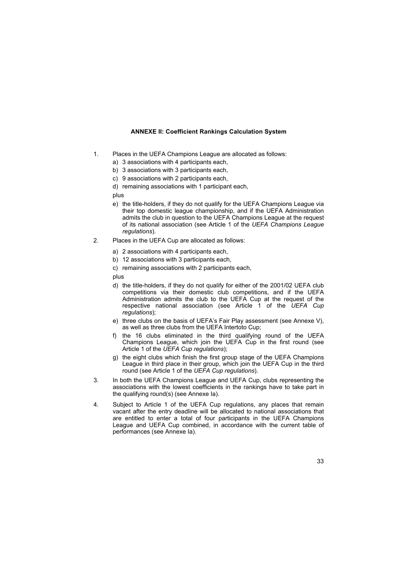## **ANNEXE II: Coefficient Rankings Calculation System**

- 1. Places in the UEFA Champions League are allocated as follows:
	- a) 3 associations with 4 participants each,
	- b) 3 associations with 3 participants each,
	- c) 9 associations with 2 participants each,
	- d) remaining associations with 1 participant each,

plus

- e) the title-holders, if they do not qualify for the UEFA Champions League via their top domestic league championship, and if the UEFA Administration admits the club in question to the UEFA Champions League at the request of its national association (see Article 1 of the *UEFA Champions League regulations*).
- 2. Places in the UEFA Cup are allocated as follows:
	- a) 2 associations with 4 participants each,
	- b) 12 associations with 3 participants each,
	- c) remaining associations with 2 participants each,

plus

- d) the title-holders, if they do not qualify for either of the 2001/02 UEFA club competitions via their domestic club competitions, and if the UEFA Administration admits the club to the UEFA Cup at the request of the respective national association (see Article 1 of the *UEFA Cup regulations*);
- e) three clubs on the basis of UEFA's Fair Play assessment (see Annexe V), as well as three clubs from the UEFA Intertoto Cup;
- f) the 16 clubs eliminated in the third qualifying round of the UEFA Champions League, which join the UEFA Cup in the first round (see Article 1 of the *UEFA Cup regulations*);
- g) the eight clubs which finish the first group stage of the UEFA Champions League in third place in their group, which join the UEFA Cup in the third round (see Article 1 of the *UEFA Cup regulations*).
- 3. In both the UEFA Champions League and UEFA Cup, clubs representing the associations with the lowest coefficients in the rankings have to take part in the qualifying round(s) (see Annexe Ia).
- 4. Subject to Article 1 of the UEFA Cup regulations, any places that remain vacant after the entry deadline will be allocated to national associations that are entitled to enter a total of four participants in the UEFA Champions League and UEFA Cup combined, in accordance with the current table of performances (see Annexe Ia).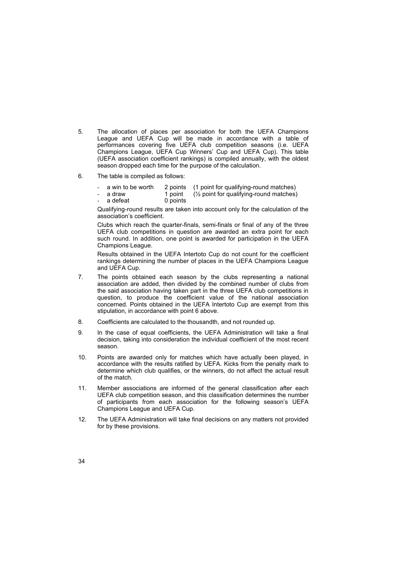- 5. The allocation of places per association for both the UEFA Champions League and UEFA Cup will be made in accordance with a table of performances covering five UEFA club competition seasons (i.e. UEFA Champions League, UEFA Cup Winnersí Cup and UEFA Cup). This table (UEFA association coefficient rankings) is compiled annually, with the oldest season dropped each time for the purpose of the calculation.
- 6. The table is compiled as follows:
	- a win to be worth 2 points (1 point for qualifying-round matches)<br>a draw 1 point  $\frac{1}{2}$  point for qualifying-round matches)
		- 1 point  $(1/2)$  point for qualifying-round matches)
	- a defeat 0 points

Qualifying-round results are taken into account only for the calculation of the association's coefficient.

Clubs which reach the quarter-finals, semi-finals or final of any of the three UEFA club competitions in question are awarded an extra point for each such round. In addition, one point is awarded for participation in the UEFA Champions League.

Results obtained in the UEFA Intertoto Cup do not count for the coefficient rankings determining the number of places in the UEFA Champions League and UEFA Cup.

- 7. The points obtained each season by the clubs representing a national association are added, then divided by the combined number of clubs from the said association having taken part in the three UEFA club competitions in question, to produce the coefficient value of the national association concerned. Points obtained in the UEFA Intertoto Cup are exempt from this stipulation, in accordance with point 6 above.
- 8. Coefficients are calculated to the thousandth, and not rounded up.
- 9. In the case of equal coefficients, the UEFA Administration will take a final decision, taking into consideration the individual coefficient of the most recent season.
- 10. Points are awarded only for matches which have actually been played, in accordance with the results ratified by UEFA. Kicks from the penalty mark to determine which club qualifies, or the winners, do not affect the actual result of the match.
- 11. Member associations are informed of the general classification after each UEFA club competition season, and this classification determines the number of participants from each association for the following seasonís UEFA Champions League and UEFA Cup.
- 12. The UEFA Administration will take final decisions on any matters not provided for by these provisions.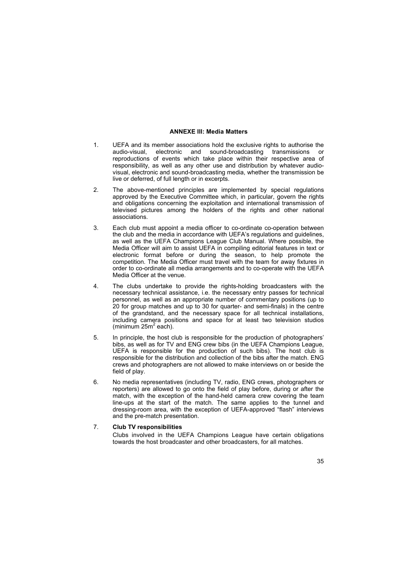## **ANNEXE III: Media Matters**

- 1. UEFA and its member associations hold the exclusive rights to authorise the audio-visual, electronic and sound-broadcasting transmissions or reproductions of events which take place within their respective area of responsibility, as well as any other use and distribution by whatever audiovisual, electronic and sound-broadcasting media, whether the transmission be live or deferred, of full length or in excerpts.
- 2. The above-mentioned principles are implemented by special regulations approved by the Executive Committee which, in particular, govern the rights and obligations concerning the exploitation and international transmission of televised pictures among the holders of the rights and other national associations.
- 3. Each club must appoint a media officer to co-ordinate co-operation between the club and the media in accordance with UEFAís regulations and guidelines, as well as the UEFA Champions League Club Manual. Where possible, the Media Officer will aim to assist UEFA in compiling editorial features in text or electronic format before or during the season, to help promote the competition. The Media Officer must travel with the team for away fixtures in order to co-ordinate all media arrangements and to co-operate with the UEFA Media Officer at the venue.
- 4. The clubs undertake to provide the rights-holding broadcasters with the necessary technical assistance, i.e. the necessary entry passes for technical personnel, as well as an appropriate number of commentary positions (up to 20 for group matches and up to 30 for quarter- and semi-finals) in the centre of the grandstand, and the necessary space for all technical installations, including camera positions and space for at least two television studios (minimum 25m<sup>2</sup> each).
- 5. In principle, the host club is responsible for the production of photographersí bibs, as well as for TV and ENG crew bibs (in the UEFA Champions League, UEFA is responsible for the production of such bibs). The host club is responsible for the distribution and collection of the bibs after the match. ENG crews and photographers are not allowed to make interviews on or beside the field of play.
- 6. No media representatives (including TV, radio, ENG crews, photographers or reporters) are allowed to go onto the field of play before, during or after the match, with the exception of the hand-held camera crew covering the team line-ups at the start of the match. The same applies to the tunnel and dressing-room area, with the exception of UEFA-approved "flash" interviews and the pre-match presentation.

## 7. **Club TV responsibilities**

Clubs involved in the UEFA Champions League have certain obligations towards the host broadcaster and other broadcasters, for all matches.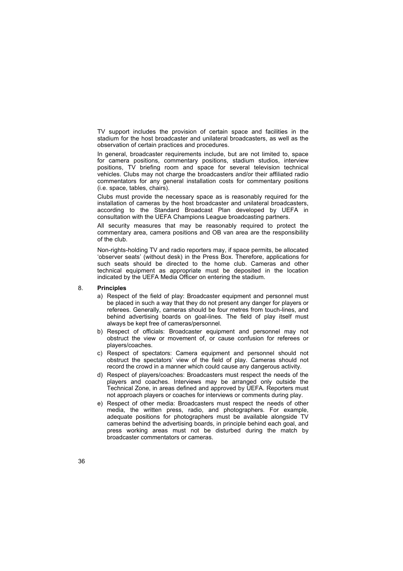TV support includes the provision of certain space and facilities in the stadium for the host broadcaster and unilateral broadcasters, as well as the observation of certain practices and procedures.

In general, broadcaster requirements include, but are not limited to, space for camera positions, commentary positions, stadium studios, interview positions, TV briefing room and space for several television technical vehicles. Clubs may not charge the broadcasters and/or their affiliated radio commentators for any general installation costs for commentary positions (i.e. space, tables, chairs).

Clubs must provide the necessary space as is reasonably required for the installation of cameras by the host broadcaster and unilateral broadcasters, according to the Standard Broadcast Plan developed by UEFA in consultation with the UEFA Champions League broadcasting partners.

All security measures that may be reasonably required to protect the commentary area, camera positions and OB van area are the responsibility of the club.

Non-rights-holding TV and radio reporters may, if space permits, be allocated ëobserver seatsí (without desk) in the Press Box. Therefore, applications for such seats should be directed to the home club. Cameras and other technical equipment as appropriate must be deposited in the location indicated by the UEFA Media Officer on entering the stadium.

## 8. **Principles**

- a) Respect of the field of play: Broadcaster equipment and personnel must be placed in such a way that they do not present any danger for players or referees. Generally, cameras should be four metres from touch-lines, and behind advertising boards on goal-lines. The field of play itself must always be kept free of cameras/personnel.
- b) Respect of officials: Broadcaster equipment and personnel may not obstruct the view or movement of, or cause confusion for referees or players/coaches.
- c) Respect of spectators: Camera equipment and personnel should not obstruct the spectators' view of the field of play. Cameras should not record the crowd in a manner which could cause any dangerous activity.
- d) Respect of players/coaches: Broadcasters must respect the needs of the players and coaches. Interviews may be arranged only outside the Technical Zone, in areas defined and approved by UEFA. Reporters must not approach players or coaches for interviews or comments during play.
- e) Respect of other media: Broadcasters must respect the needs of other media, the written press, radio, and photographers. For example, adequate positions for photographers must be available alongside TV cameras behind the advertising boards, in principle behind each goal, and press working areas must not be disturbed during the match by broadcaster commentators or cameras.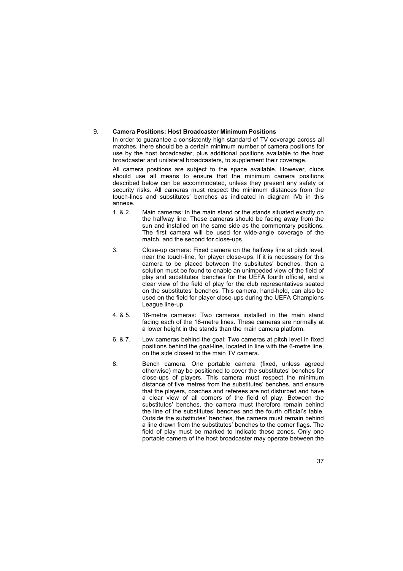## 9. **Camera Positions: Host Broadcaster Minimum Positions**

In order to guarantee a consistently high standard of TV coverage across all matches, there should be a certain minimum number of camera positions for use by the host broadcaster, plus additional positions available to the host broadcaster and unilateral broadcasters, to supplement their coverage.

All camera positions are subject to the space available. However, clubs should use all means to ensure that the minimum camera positions described below can be accommodated, unless they present any safety or security risks. All cameras must respect the minimum distances from the touch-lines and substitutes' benches as indicated in diagram IVb in this annexe.

- 1. & 2. Main cameras: In the main stand or the stands situated exactly on the halfway line. These cameras should be facing away from the sun and installed on the same side as the commentary positions. The first camera will be used for wide-angle coverage of the match, and the second for close-ups.
- 3. Close-up camera: Fixed camera on the halfway line at pitch level, near the touch-line, for player close-ups. If it is necessary for this camera to be placed between the subsitutes' benches, then a solution must be found to enable an unimpeded view of the field of play and substitutes' benches for the UEFA fourth official, and a clear view of the field of play for the club representatives seated on the substitutes' benches. This camera, hand-held, can also be used on the field for player close-ups during the UEFA Champions League line-up.
- 4. & 5. 16-metre cameras: Two cameras installed in the main stand facing each of the 16-metre lines. These cameras are normally at a lower height in the stands than the main camera platform.
- 6. & 7. Low cameras behind the goal: Two cameras at pitch level in fixed positions behind the goal-line, located in line with the 6-metre line, on the side closest to the main TV camera.
- 8. Bench camera: One portable camera (fixed, unless agreed otherwise) may be positioned to cover the substitutes' benches for close-ups of players. This camera must respect the minimum distance of five metres from the substitutes' benches, and ensure that the players, coaches and referees are not disturbed and have a clear view of all corners of the field of play. Between the substitutes' benches, the camera must therefore remain behind the line of the substitutes' benches and the fourth official's table. Outside the substitutes' benches, the camera must remain behind a line drawn from the substitutes' benches to the corner flags. The field of play must be marked to indicate these zones. Only one portable camera of the host broadcaster may operate between the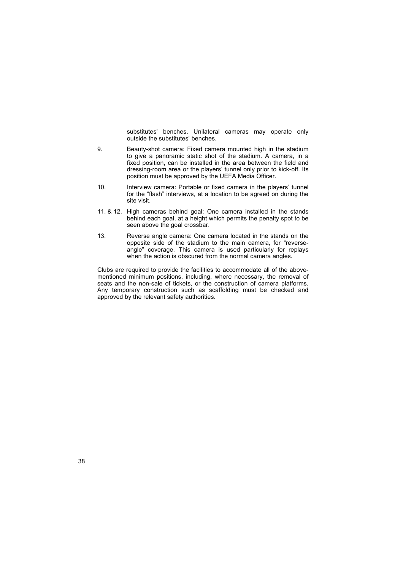substitutes' benches. Unilateral cameras may operate only outside the substitutes' benches.

- 9. Beauty-shot camera: Fixed camera mounted high in the stadium to give a panoramic static shot of the stadium. A camera, in a fixed position, can be installed in the area between the field and dressing-room area or the players' tunnel only prior to kick-off. Its position must be approved by the UEFA Media Officer.
- 10. Interview camera: Portable or fixed camera in the players' tunnel for the "flash" interviews, at a location to be agreed on during the site visit.
- 11. & 12. High cameras behind goal: One camera installed in the stands behind each goal, at a height which permits the penalty spot to be seen above the goal crossbar.
- 13. Reverse angle camera: One camera located in the stands on the opposite side of the stadium to the main camera, for "reverseangle" coverage. This camera is used particularly for replays when the action is obscured from the normal camera angles.

Clubs are required to provide the facilities to accommodate all of the abovementioned minimum positions, including, where necessary, the removal of seats and the non-sale of tickets, or the construction of camera platforms. Any temporary construction such as scaffolding must be checked and approved by the relevant safety authorities.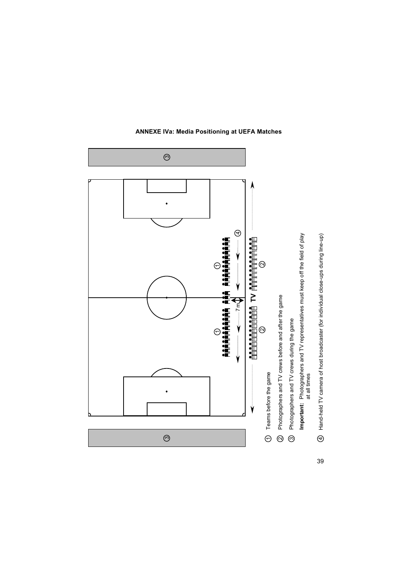

**ANNEXE IVa: Media Positioning at UEFA Matches**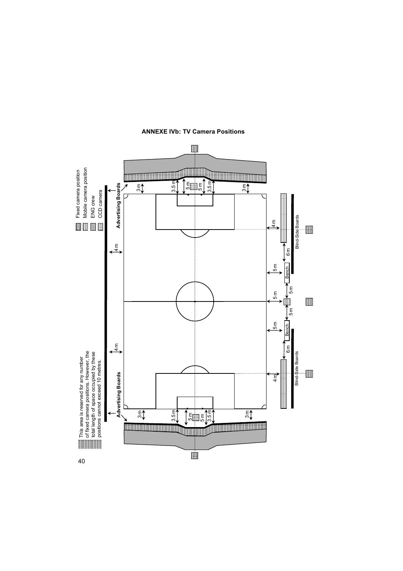

**ANNEXE IVb: TV Camera Positions**

40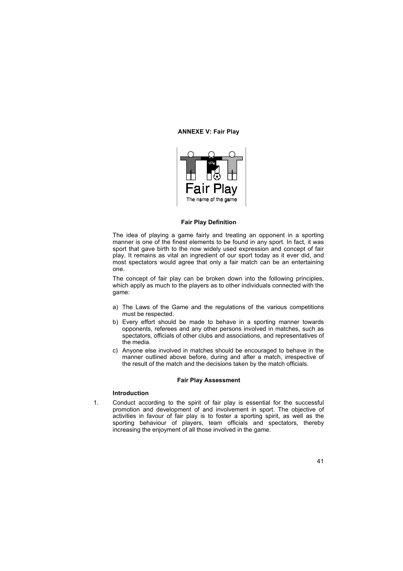## **ANNEXE V: Fair Play**



#### **Fair Play Definition**

The idea of playing a game fairly and treating an opponent in a sporting manner is one of the finest elements to be found in any sport. In fact, it was sport that gave birth to the now widely used expression and concept of fair play. It remains as vital an ingredient of our sport today as it ever did, and most spectators would agree that only a fair match can be an entertaining one.

The concept of fair play can be broken down into the following principles, which apply as much to the players as to other individuals connected with the game:

- a) The Laws of the Game and the regulations of the various competitions must be respected.
- b) Every effort should be made to behave in a sporting manner towards opponents, referees and any other persons involved in matches, such as spectators, officials of other clubs and associations, and representatives of the media.
- c) Anyone else involved in matches should be encouraged to behave in the manner outlined above before, during and after a match, irrespective of the result of the match and the decisions taken by the match officials.

#### **Fair Play Assessment**

## **Introduction**

1. Conduct according to the spirit of fair play is essential for the successful promotion and development of and involvement in sport. The objective of activities in favour of fair play is to foster a sporting spirit, as well as the sporting behaviour of players, team officials and spectators, thereby increasing the enjoyment of all those involved in the game.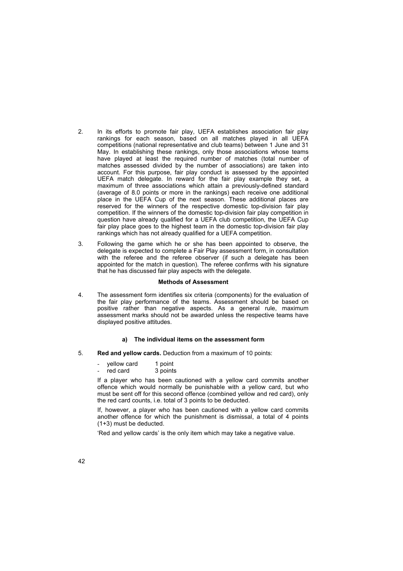- 2. In its efforts to promote fair play, UEFA establishes association fair play rankings for each season, based on all matches played in all UEFA competitions (national representative and club teams) between 1 June and 31 May. In establishing these rankings, only those associations whose teams have played at least the required number of matches (total number of matches assessed divided by the number of associations) are taken into account. For this purpose, fair play conduct is assessed by the appointed UEFA match delegate. In reward for the fair play example they set, a maximum of three associations which attain a previously-defined standard (average of 8.0 points or more in the rankings) each receive one additional place in the UEFA Cup of the next season. These additional places are reserved for the winners of the respective domestic top-division fair play competition. If the winners of the domestic top-division fair play competition in question have already qualified for a UEFA club competition, the UEFA Cup fair play place goes to the highest team in the domestic top-division fair play rankings which has not already qualified for a UEFA competition.
- 3. Following the game which he or she has been appointed to observe, the delegate is expected to complete a Fair Play assessment form, in consultation with the referee and the referee observer (if such a delegate has been appointed for the match in question). The referee confirms with his signature that he has discussed fair play aspects with the delegate.

#### **Methods of Assessment**

4. The assessment form identifies six criteria (components) for the evaluation of the fair play performance of the teams. Assessment should be based on positive rather than negative aspects. As a general rule, maximum assessment marks should not be awarded unless the respective teams have displayed positive attitudes.

## **a) The individual items on the assessment form**

- 5. **Red and yellow cards.** Deduction from a maximum of 10 points:
	- yellow card 1 point<br>red card 3 points
	- $-$  red card

If a player who has been cautioned with a yellow card commits another offence which would normally be punishable with a yellow card, but who must be sent off for this second offence (combined yellow and red card), only the red card counts, i.e. total of 3 points to be deducted.

If, however, a player who has been cautioned with a yellow card commits another offence for which the punishment is dismissal, a total of 4 points (1+3) must be deducted.

'Red and yellow cards' is the only item which may take a negative value.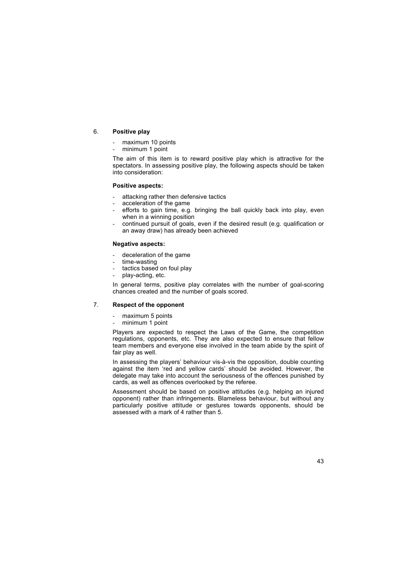## 6. **Positive play**

- maximum 10 points
- minimum 1 point

The aim of this item is to reward positive play which is attractive for the spectators. In assessing positive play, the following aspects should be taken into consideration:

## **Positive aspects:**

- attacking rather then defensive tactics
- acceleration of the game
- efforts to gain time, e.g. bringing the ball quickly back into play, even when in a winning position
- continued pursuit of goals, even if the desired result (e.g. qualification or an away draw) has already been achieved

## **Negative aspects:**

- deceleration of the game
- time-wasting
- tactics based on foul play
- play-acting, etc.

In general terms, positive play correlates with the number of goal-scoring chances created and the number of goals scored.

## 7. **Respect of the opponent**

- maximum 5 points
- minimum 1 point

Players are expected to respect the Laws of the Game, the competition regulations, opponents, etc. They are also expected to ensure that fellow team members and everyone else involved in the team abide by the spirit of fair play as well.

In assessing the players' behaviour vis-à-vis the opposition, double counting against the item 'red and yellow cards' should be avoided. However, the delegate may take into account the seriousness of the offences punished by cards, as well as offences overlooked by the referee.

Assessment should be based on positive attitudes (e.g. helping an injured opponent) rather than infringements. Blameless behaviour, but without any particularly positive attitude or gestures towards opponents, should be assessed with a mark of 4 rather than 5.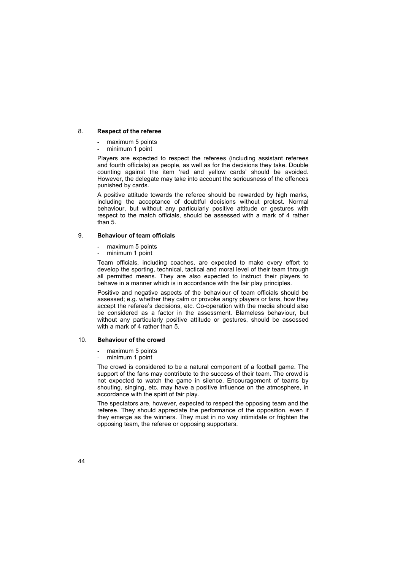## 8. **Respect of the referee**

- maximum 5 points
- minimum 1 point

Players are expected to respect the referees (including assistant referees and fourth officials) as people, as well as for the decisions they take. Double counting against the item 'red and yellow cards' should be avoided. However, the delegate may take into account the seriousness of the offences punished by cards.

A positive attitude towards the referee should be rewarded by high marks, including the acceptance of doubtful decisions without protest. Normal behaviour, but without any particularly positive attitude or gestures with respect to the match officials, should be assessed with a mark of 4 rather than 5.

## 9. **Behaviour of team officials**

- maximum 5 points
- minimum 1 point

Team officials, including coaches, are expected to make every effort to develop the sporting, technical, tactical and moral level of their team through all permitted means. They are also expected to instruct their players to behave in a manner which is in accordance with the fair play principles.

Positive and negative aspects of the behaviour of team officials should be assessed; e.g. whether they calm or provoke angry players or fans, how they accept the referee's decisions, etc. Co-operation with the media should also be considered as a factor in the assessment. Blameless behaviour, but without any particularly positive attitude or gestures, should be assessed with a mark of 4 rather than 5.

#### 10. **Behaviour of the crowd**

- maximum 5 points
- minimum 1 point

The crowd is considered to be a natural component of a football game. The support of the fans may contribute to the success of their team. The crowd is not expected to watch the game in silence. Encouragement of teams by shouting, singing, etc. may have a positive influence on the atmosphere, in accordance with the spirit of fair play.

The spectators are, however, expected to respect the opposing team and the referee. They should appreciate the performance of the opposition, even if they emerge as the winners. They must in no way intimidate or frighten the opposing team, the referee or opposing supporters.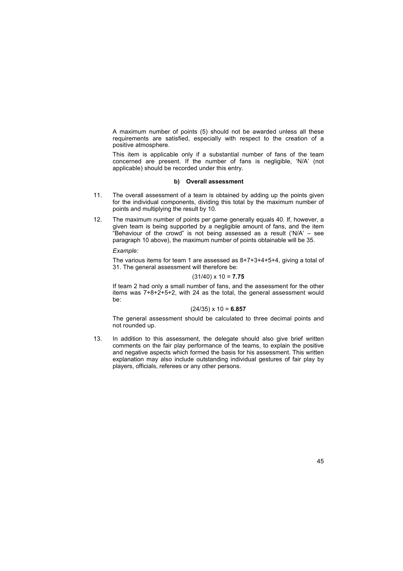A maximum number of points (5) should not be awarded unless all these requirements are satisfied, especially with respect to the creation of a positive atmosphere.

This item is applicable only if a substantial number of fans of the team concerned are present. If the number of fans is negligible, 'N/A' (not applicable) should be recorded under this entry.

## **b) Overall assessment**

- 11. The overall assessment of a team is obtained by adding up the points given for the individual components, dividing this total by the maximum number of points and multiplying the result by 10.
- 12. The maximum number of points per game generally equals 40. If, however, a given team is being supported by a negligible amount of fans, and the item "Behaviour of the crowd" is not being assessed as a result ('N/A'  $-$  see paragraph 10 above), the maximum number of points obtainable will be 35.

*Example:*

The various items for team 1 are assessed as 8+7+3+4+5+4, giving a total of 31. The general assessment will therefore be:

## (31/40) x 10 = **7.75**

If team 2 had only a small number of fans, and the assessment for the other items was 7+8+2+5+2, with 24 as the total, the general assessment would be:

#### (24/35) x 10 = **6.857**

The general assessment should be calculated to three decimal points and not rounded up.

13. In addition to this assessment, the delegate should also give brief written comments on the fair play performance of the teams, to explain the positive and negative aspects which formed the basis for his assessment. This written explanation may also include outstanding individual gestures of fair play by players, officials, referees or any other persons.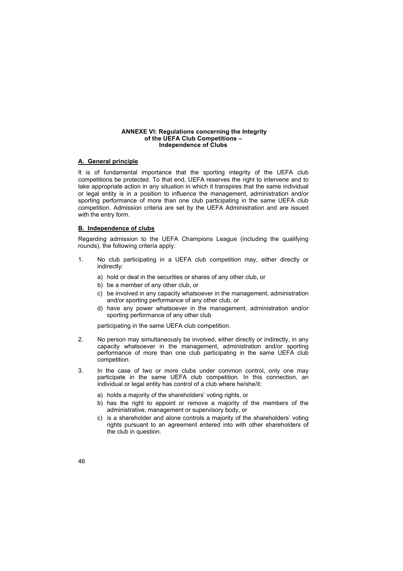### **ANNEXE VI: Regulations concerning the Integrity** of the UEFA Club Competitions -**Independence of Clubs**

## **A. General principle**

It is of fundamental importance that the sporting integrity of the UEFA club competitions be protected. To that end, UEFA reserves the right to intervene and to take appropriate action in any situation in which it transpires that the same individual or legal entity is in a position to influence the management, administration and/or sporting performance of more than one club participating in the same UEFA club competition. Admission criteria are set by the UEFA Administration and are issued with the entry form.

## **B. Independence of clubs**

Regarding admission to the UEFA Champions League (including the qualifying rounds), the following criteria apply:

- 1. No club participating in a UEFA club competition may, either directly or indirectly:
	- a) hold or deal in the securities or shares of any other club, or
	- b) be a member of any other club, or
	- c) be involved in any capacity whatsoever in the management, administration and/or sporting performance of any other club, or
	- d) have any power whatsoever in the management, administration and/or sporting performance of any other club

participating in the same UEFA club competition.

- 2. No person may simultaneously be involved, either directly or indirectly, in any capacity whatsoever in the management, administration and/or sporting performance of more than one club participating in the same UEFA club competition.
- 3. In the case of two or more clubs under common control, only one may participate in the same UEFA club competition. In this connection, an individual or legal entity has control of a club where he/she/it:
	- a) holds a majority of the shareholders' voting rights, or
	- b) has the right to appoint or remove a majority of the members of the administrative, management or supervisory body, or
	- c) is a shareholder and alone controls a majority of the shareholders' voting rights pursuant to an agreement entered into with other shareholders of the club in question.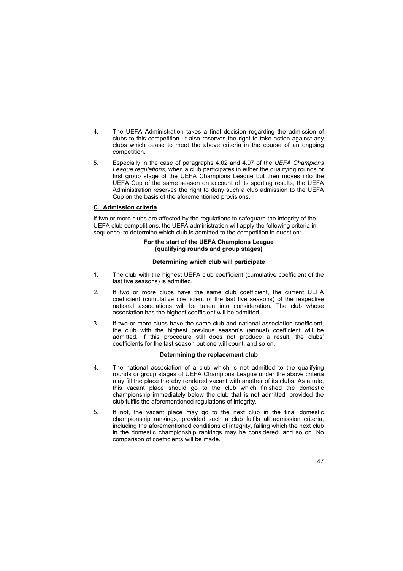- 4. The UEFA Administration takes a final decision regarding the admission of clubs to this competition. It also reserves the right to take action against any clubs which cease to meet the above criteria in the course of an ongoing competition.
- 5. Especially in the case of paragraphs 4.02 and 4.07 of the *UEFA Champions League regulations*, when a club participates in either the qualifying rounds or first group stage of the UEFA Champions League but then moves into the UEFA Cup of the same season on account of its sporting results, the UEFA Administration reserves the right to deny such a club admission to the UEFA Cup on the basis of the aforementioned provisions.

## **C. Admission criteria**

If two or more clubs are affected by the regulations to safeguard the integrity of the UEFA club competitions, the UEFA administration will apply the following criteria in sequence, to determine which club is admitted to the competition in question:

## **For the start of the UEFA Champions League (qualifying rounds and group stages)**

## **Determining which club will participate**

- 1. The club with the highest UEFA club coefficient (cumulative coefficient of the last five seasons) is admitted.
- 2. If two or more clubs have the same club coefficient, the current UEFA coefficient (cumulative coefficient of the last five seasons) of the respective national associations will be taken into consideration. The club whose association has the highest coefficient will be admitted.
- 3. If two or more clubs have the same club and national association coefficient, the club with the highest previous season's (annual) coefficient will be admitted. If this procedure still does not produce a result, the clubs' coefficients for the last season but one will count, and so on.

## **Determining the replacement club**

- 4. The national association of a club which is not admitted to the qualifying rounds or group stages of UEFA Champions League under the above criteria may fill the place thereby rendered vacant with another of its clubs. As a rule, this vacant place should go to the club which finished the domestic championship immediately below the club that is not admitted, provided the club fulfils the aforementioned regulations of integrity.
- 5. If not, the vacant place may go to the next club in the final domestic championship rankings, provided such a club fulfils all admission criteria, including the aforementioned conditions of integrity, failing which the next club in the domestic championship rankings may be considered, and so on. No comparison of coefficients will be made.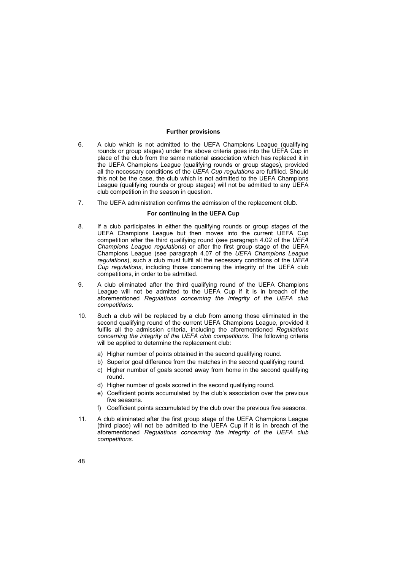## **Further provisions**

- 6. A club which is not admitted to the UEFA Champions League (qualifying rounds or group stages) under the above criteria goes into the UEFA Cup in place of the club from the same national association which has replaced it in the UEFA Champions League (qualifying rounds or group stages), provided all the necessary conditions of the *UEFA Cup regulations* are fulfilled. Should this not be the case, the club which is not admitted to the UEFA Champions League (qualifying rounds or group stages) will not be admitted to any UEFA club competition in the season in question.
- 7. The UEFA administration confirms the admission of the replacement club.

## **For continuing in the UEFA Cup**

- 8. If a club participates in either the qualifying rounds or group stages of the UEFA Champions League but then moves into the current UEFA Cup competition after the third qualifying round (see paragraph 4.02 of the *UEFA Champions League regulations*) or after the first group stage of the UEFA Champions League (see paragraph 4.07 of the *UEFA Champions League regulations*), such a club must fulfil all the necessary conditions of the *UEFA Cup regulations*, including those concerning the integrity of the UEFA club competitions, in order to be admitted.
- 9. A club eliminated after the third qualifying round of the UEFA Champions League will not be admitted to the UEFA Cup if it is in breach of the aforementioned *Regulations concerning the integrity of the UEFA club competitions*.
- 10. Such a club will be replaced by a club from among those eliminated in the second qualifying round of the current UEFA Champions League, provided it fulfils all the admission criteria, including the aforementioned *Regulations concerning the integrity of the UEFA club competitions*. The following criteria will be applied to determine the replacement club:
	- a) Higher number of points obtained in the second qualifying round.
	- b) Superior goal difference from the matches in the second qualifying round.
	- c) Higher number of goals scored away from home in the second qualifying round.
	- d) Higher number of goals scored in the second qualifying round.
	- e) Coefficient points accumulated by the club's association over the previous five seasons.
	- f) Coefficient points accumulated by the club over the previous five seasons.
- 11. A club eliminated after the first group stage of the UEFA Champions League (third place) will not be admitted to the UEFA Cup if it is in breach of the aforementioned *Regulations concerning the integrity of the UEFA club competitions*.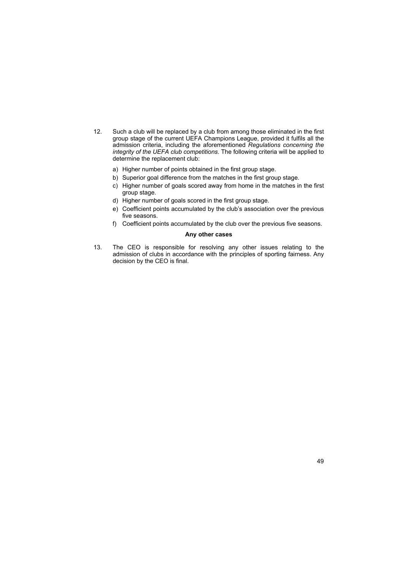- 12. Such a club will be replaced by a club from among those eliminated in the first group stage of the current UEFA Champions League, provided it fulfils all the admission criteria, including the aforementioned *Regulations concerning the integrity of the UEFA club competitions*. The following criteria will be applied to determine the replacement club:
	- a) Higher number of points obtained in the first group stage.
	- b) Superior goal difference from the matches in the first group stage.
	- c) Higher number of goals scored away from home in the matches in the first group stage.
	- d) Higher number of goals scored in the first group stage.
	- e) Coefficient points accumulated by the club's association over the previous five seasons.
	- f) Coefficient points accumulated by the club over the previous five seasons.

## **Any other cases**

13. The CEO is responsible for resolving any other issues relating to the admission of clubs in accordance with the principles of sporting fairness. Any decision by the CEO is final.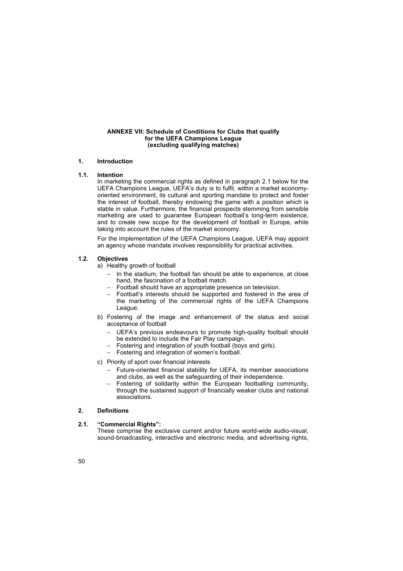## **ANNEXE VII: Schedule of Conditions for Clubs that qualify for the UEFA Champions League (excluding qualifying matches)**

## **1. Introduction**

## **1.1. Intention**

In marketing the commercial rights as defined in paragraph 2.1 below for the UEFA Champions League, UEFAís duty is to fulfil, within a market economyoriented environment, its cultural and sporting mandate to protect and foster the interest of football, thereby endowing the game with a position which is stable in value. Furthermore, the financial prospects stemming from sensible marketing are used to guarantee European football's long-term existence, and to create new scope for the development of football in Europe, while taking into account the rules of the market economy.

For the implementation of the UEFA Champions League, UEFA may appoint an agency whose mandate involves responsibility for practical activities.

## **1.2. Objectives**

a) Healthy growth of football

- In the stadium, the football fan should be able to experience, at close hand, the fascination of a football match.
- Football should have an appropriate presence on television.
- Football's interests should be supported and fostered in the area of the marketing of the commercial rights of the UEFA Champions League.
- b) Fostering of the image and enhancement of the status and social acceptance of football
	- UEFA's previous endeavours to promote high-quality football should be extended to include the Fair Play campaign.
	- Fostering and integration of youth football (boys and girls).
	- − Fostering and integration of womenís football.
- c) Priority of sport over financial interests
	- − Future-oriented financial stability for UEFA, its member associations and clubs, as well as the safeguarding of their independence.
	- Fostering of solidarity within the European footballing community, through the sustained support of financially weaker clubs and national associations.

## **2. Definitions**

## **2.1.** "Commercial Rights":

These comprise the exclusive current and/or future world-wide audio-visual, sound-broadcasting, interactive and electronic media, and advertising rights,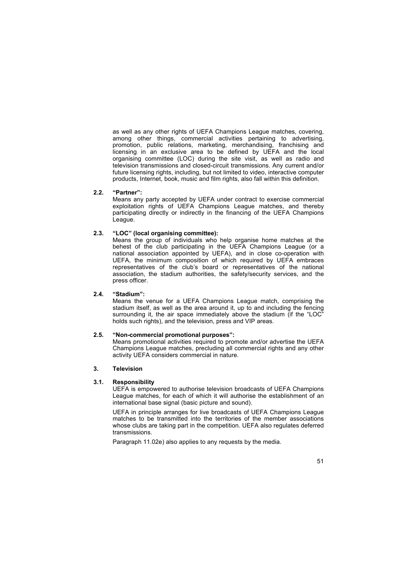as well as any other rights of UEFA Champions League matches, covering, among other things, commercial activities pertaining to advertising, promotion, public relations, marketing, merchandising, franchising and licensing in an exclusive area to be defined by UEFA and the local organising committee (LOC) during the site visit, as well as radio and television transmissions and closed-circuit transmissions. Any current and/or future licensing rights, including, but not limited to video, interactive computer products, Internet, book, music and film rights, also fall within this definition.

## **2.2.** "Partner":

Means any party accepted by UEFA under contract to exercise commercial exploitation rights of UEFA Champions League matches, and thereby participating directly or indirectly in the financing of the UEFA Champions League.

## 2.3. *"LOC"* (local organising committee):

Means the group of individuals who help organise home matches at the behest of the club participating in the UEFA Champions League (or a national association appointed by UEFA), and in close co-operation with UEFA, the minimum composition of which required by UEFA embraces representatives of the club's board or representatives of the national association, the stadium authorities, the safety/security services, and the press officer.

## 2.4. *"Stadium"*:

Means the venue for a UEFA Champions League match, comprising the stadium itself, as well as the area around it, up to and including the fencing surrounding it, the air space immediately above the stadium (if the  $LOC^{\pi}$ holds such rights), and the television, press and VIP areas.

#### **2.5.** "Non-commercial promotional purposes":

Means promotional activities required to promote and/or advertise the UEFA Champions League matches, precluding all commercial rights and any other activity UEFA considers commercial in nature.

## **3. Television**

## **3.1. Responsibility**

UEFA is empowered to authorise television broadcasts of UEFA Champions League matches, for each of which it will authorise the establishment of an international base signal (basic picture and sound).

UEFA in principle arranges for live broadcasts of UEFA Champions League matches to be transmitted into the territories of the member associations whose clubs are taking part in the competition. UEFA also regulates deferred transmissions.

Paragraph 11.02e) also applies to any requests by the media.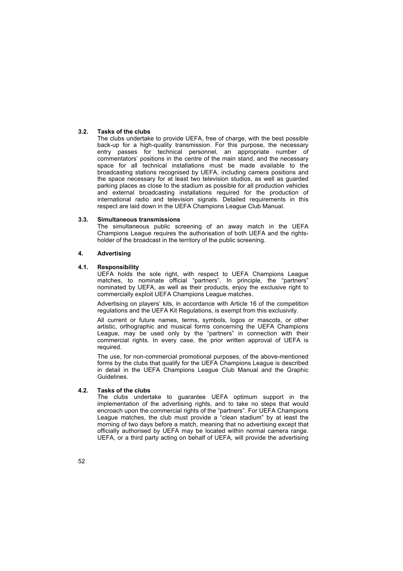## **3.2. Tasks of the clubs**

The clubs undertake to provide UEFA, free of charge, with the best possible back-up for a high-quality transmission. For this purpose, the necessary entry passes for technical personnel, an appropriate number of commentators' positions in the centre of the main stand, and the necessary space for all technical installations must be made available to the broadcasting stations recognised by UEFA, including camera positions and the space necessary for at least two television studios, as well as guarded parking places as close to the stadium as possible for all production vehicles and external broadcasting installations required for the production of international radio and television signals. Detailed requirements in this respect are laid down in the UEFA Champions League Club Manual.

## **3.3. Simultaneous transmissions**

The simultaneous public screening of an away match in the UEFA Champions League requires the authorisation of both UEFA and the rightsholder of the broadcast in the territory of the public screening.

## **4. Advertising**

## **4.1. Responsibility**

UEFA holds the sole right, with respect to UEFA Champions League matches, to nominate official "partners". In principle, the "partners" nominated by UEFA, as well as their products, enjoy the exclusive right to commercially exploit UEFA Champions League matches.

Advertising on players' kits, in accordance with Article 16 of the competition regulations and the UEFA Kit Regulations, is exempt from this exclusivity.

All current or future names, terms, symbols, logos or mascots, or other artistic, orthographic and musical forms concerning the UEFA Champions League, may be used only by the "partners" in connection with their commercial rights. In every case, the prior written approval of UEFA is required.

The use, for non-commercial promotional purposes, of the above-mentioned forms by the clubs that qualify for the UEFA Champions League is described in detail in the UEFA Champions League Club Manual and the Graphic Guidelines.

## **4.2. Tasks of the clubs**

The clubs undertake to guarantee UEFA optimum support in the implementation of the advertising rights, and to take no steps that would encroach upon the commercial rights of the "partners". For UEFA Champions League matches, the club must provide a "clean stadium" by at least the morning of two days before a match, meaning that no advertising except that officially authorised by UEFA may be located within normal camera range. UEFA, or a third party acting on behalf of UEFA, will provide the advertising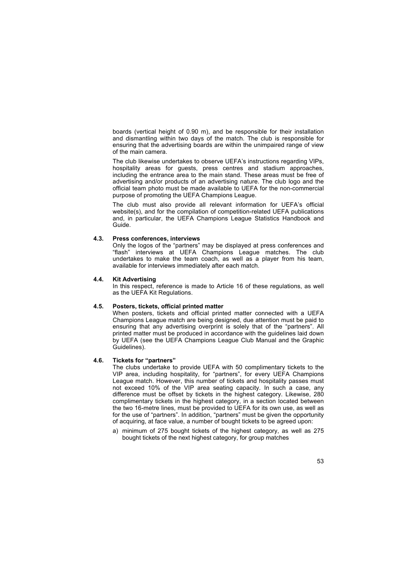boards (vertical height of 0.90 m), and be responsible for their installation and dismantling within two days of the match. The club is responsible for ensuring that the advertising boards are within the unimpaired range of view of the main camera.

The club likewise undertakes to observe UEFA's instructions regarding VIPs, hospitality areas for guests, press centres and stadium approaches, including the entrance area to the main stand. These areas must be free of advertising and/or products of an advertising nature. The club logo and the official team photo must be made available to UEFA for the non-commercial purpose of promoting the UEFA Champions League.

The club must also provide all relevant information for UEFAís official website(s), and for the compilation of competition-related UEFA publications and, in particular, the UEFA Champions League Statistics Handbook and Guide.

## **4.3. Press conferences, interviews**

Only the logos of the "partners" may be displayed at press conferences and ìflashî interviews at UEFA Champions League matches. The club undertakes to make the team coach, as well as a player from his team, available for interviews immediately after each match.

#### **4.4. Kit Advertising**

In this respect, reference is made to Article 16 of these regulations, as well as the UEFA Kit Regulations.

#### **4.5. Posters, tickets, official printed matter**

When posters, tickets and official printed matter connected with a UEFA Champions League match are being designed, due attention must be paid to ensuring that any advertising overprint is solely that of the "partners". All printed matter must be produced in accordance with the guidelines laid down by UEFA (see the UEFA Champions League Club Manual and the Graphic Guidelines).

## **4.6.** Tickets for "partners"

The clubs undertake to provide UEFA with 50 complimentary tickets to the VIP area, including hospitality, for "partners", for every UEFA Champions League match. However, this number of tickets and hospitality passes must not exceed 10% of the VIP area seating capacity. In such a case, any difference must be offset by tickets in the highest category. Likewise, 280 complimentary tickets in the highest category, in a section located between the two 16-metre lines, must be provided to UEFA for its own use, as well as for the use of "partners". In addition, "partners" must be given the opportunity of acquiring, at face value, a number of bought tickets to be agreed upon:

a) minimum of 275 bought tickets of the highest category, as well as 275 bought tickets of the next highest category, for group matches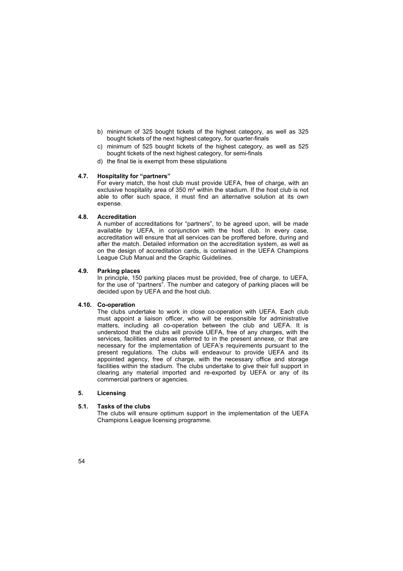- b) minimum of 325 bought tickets of the highest category, as well as 325 bought tickets of the next highest category, for quarter-finals
- c) minimum of 525 bought tickets of the highest category, as well as 525 bought tickets of the next highest category, for semi-finals
- d) the final tie is exempt from these stipulations

## **4.7.** Hospitality for "partners"

For every match, the host club must provide UEFA, free of charge, with an exclusive hospitality area of 350 m² within the stadium. If the host club is not able to offer such space, it must find an alternative solution at its own expense.

## **4.8. Accreditation**

A number of accreditations for "partners", to be agreed upon, will be made available by UEFA, in conjunction with the host club. In every case, accreditation will ensure that all services can be proffered before, during and after the match. Detailed information on the accreditation system, as well as on the design of accreditation cards, is contained in the UEFA Champions League Club Manual and the Graphic Guidelines.

## **4.9. Parking places**

In principle, 150 parking places must be provided, free of charge, to UEFA, for the use of "partners". The number and category of parking places will be decided upon by UEFA and the host club.

## **4.10. Co-operation**

The clubs undertake to work in close co-operation with UEFA. Each club must appoint a liaison officer, who will be responsible for administrative matters, including all co-operation between the club and UEFA. It is understood that the clubs will provide UEFA, free of any charges, with the services, facilities and areas referred to in the present annexe, or that are necessary for the implementation of UEFAís requirements pursuant to the present regulations. The clubs will endeavour to provide UEFA and its appointed agency, free of charge, with the necessary office and storage facilities within the stadium. The clubs undertake to give their full support in clearing any material imported and re-exported by UEFA or any of its commercial partners or agencies.

## **5. Licensing**

## **5.1. Tasks of the clubs**

The clubs will ensure optimum support in the implementation of the UEFA Champions League licensing programme.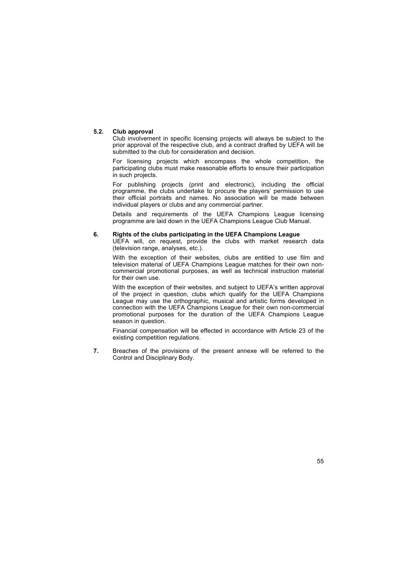## **5.2. Club approval**

Club involvement in specific licensing projects will always be subject to the prior approval of the respective club, and a contract drafted by UEFA will be submitted to the club for consideration and decision.

For licensing projects which encompass the whole competition, the participating clubs must make reasonable efforts to ensure their participation in such projects.

For publishing projects (print and electronic), including the official programme, the clubs undertake to procure the players' permission to use their official portraits and names. No association will be made between individual players or clubs and any commercial partner.

Details and requirements of the UEFA Champions League licensing programme are laid down in the UEFA Champions League Club Manual.

## **6. Rights of the clubs participating in the UEFA Champions League**

UEFA will, on request, provide the clubs with market research data (television range, analyses, etc.).

With the exception of their websites, clubs are entitled to use film and television material of UEFA Champions League matches for their own noncommercial promotional purposes, as well as technical instruction material for their own use.

With the exception of their websites, and subject to UEFA's written approval of the project in question, clubs which qualify for the UEFA Champions League may use the orthographic, musical and artistic forms developed in connection with the UEFA Champions League for their own non-commercial promotional purposes for the duration of the UEFA Champions League season in question.

Financial compensation will be effected in accordance with Article 23 of the existing competition regulations.

**7.** Breaches of the provisions of the present annexe will be referred to the Control and Disciplinary Body.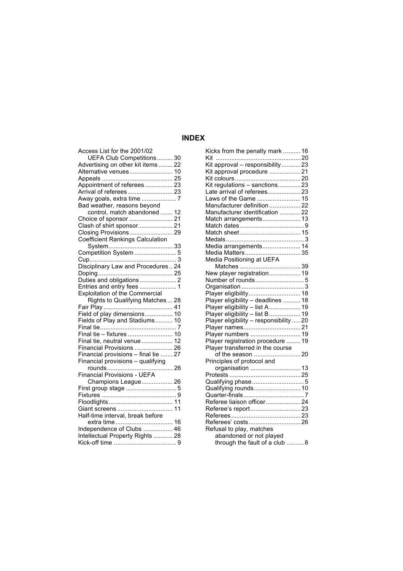## **INDEX**

| Access List for the 2001/02             |
|-----------------------------------------|
| UEFA Club Competitions 30               |
| Advertising on other kit items  22      |
| Alternative venues 10                   |
|                                         |
| Appointment of referees 23              |
| Arrival of referees 23                  |
|                                         |
| Bad weather, reasons beyond             |
| control, match abandoned  12            |
|                                         |
| Clash of shirt sponsor 21               |
| Closing Provisions 29                   |
| <b>Coefficient Rankings Calculation</b> |
|                                         |
| Competition System  5                   |
|                                         |
| Disciplinary Law and Procedures 24      |
|                                         |
|                                         |
| Entries and entry fees  1               |
| <b>Exploitation of the Commercial</b>   |
| Rights to Qualifying Matches  28        |
|                                         |
| Field of play dimensions 10             |
| Fields of Play and Stadiums 10          |
|                                         |
| Final tie - fixtures  10                |
| Final tie, neutral venue 12             |
| Financial Provisions  26                |
| Financial provisions - final tie  27    |
| Financial provisions - qualifying       |
|                                         |
| <b>Financial Provisions - UEFA</b>      |
| Champions League 26                     |
|                                         |
|                                         |
|                                         |
|                                         |
| Half-time interval, break before        |
| extra time 16                           |
| Independence of Clubs  46               |
| Intellectual Property Rights  28        |
|                                         |
|                                         |

| Kicks from the penalty mark  16                                      |  |
|----------------------------------------------------------------------|--|
|                                                                      |  |
| Kit approval - responsibility 23                                     |  |
| Kit approval procedure  21                                           |  |
|                                                                      |  |
| Kit regulations - sanctions 23                                       |  |
| Late arrival of referees 23                                          |  |
| Laws of the Game  15                                                 |  |
| Manufacturer definition  22                                          |  |
| Manufacturer identification  22                                      |  |
| Match arrangements 13                                                |  |
|                                                                      |  |
|                                                                      |  |
|                                                                      |  |
| Media arrangements 14                                                |  |
| Media Matters 35                                                     |  |
| Media Positioning at UEFA                                            |  |
|                                                                      |  |
| New player registration 19                                           |  |
|                                                                      |  |
|                                                                      |  |
| Player eligibility 18                                                |  |
|                                                                      |  |
| Player eligibility – deadlines  18<br>Player eligibility – list A 19 |  |
| Player eligibility - list B  19                                      |  |
| Player eligibility - responsibility  20                              |  |
|                                                                      |  |
| Player numbers  19                                                   |  |
| Player registration procedure  19                                    |  |
| Player transferred in the course                                     |  |
|                                                                      |  |
| Principles of protocol and                                           |  |
| organisation  13                                                     |  |
|                                                                      |  |
| Qualifying phase5                                                    |  |
|                                                                      |  |
| Qualifying rounds 10                                                 |  |
|                                                                      |  |
| Referee liaison officer 24                                           |  |
|                                                                      |  |
|                                                                      |  |
| Referees' costs 26                                                   |  |
| Refusal to play, matches                                             |  |
| abandoned or not played                                              |  |
| through the fault of a club  8                                       |  |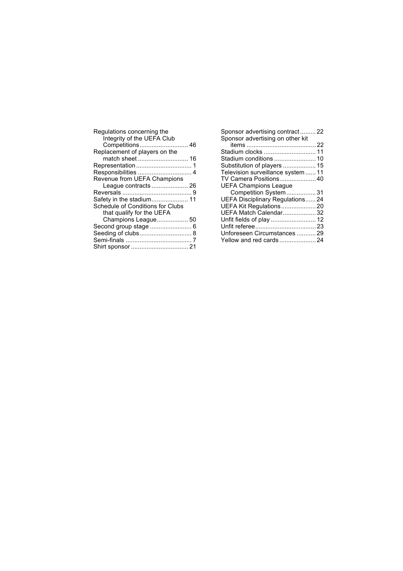| Regulations concerning the<br>Integrity of the UEFA Club<br>Competitions 46 |  |
|-----------------------------------------------------------------------------|--|
| Replacement of players on the                                               |  |
| match sheet 16                                                              |  |
|                                                                             |  |
|                                                                             |  |
| Revenue from UEFA Champions                                                 |  |
| League contracts  26                                                        |  |
|                                                                             |  |
| Safety in the stadium 11                                                    |  |
| Schedule of Conditions for Clubs                                            |  |
| that qualify for the UEFA                                                   |  |
| Champions League 50                                                         |  |
| Second group stage  6                                                       |  |
| Seeding of clubs 8                                                          |  |
|                                                                             |  |
|                                                                             |  |
|                                                                             |  |

| Sponsor advertising contract22         |  |
|----------------------------------------|--|
| Sponsor advertising on other kit       |  |
|                                        |  |
| Stadium clocks  11                     |  |
|                                        |  |
| Substitution of players  15            |  |
| Television surveillance system  11     |  |
| TV Camera Positions 40                 |  |
| <b>UEFA Champions League</b>           |  |
| Competition System 31                  |  |
| <b>UEFA Disciplinary Regulations24</b> |  |
| UEFA Kit Regulations 20                |  |
| UEFA Match Calendar 32                 |  |
|                                        |  |
|                                        |  |
| Unforeseen Circumstances  29           |  |
|                                        |  |